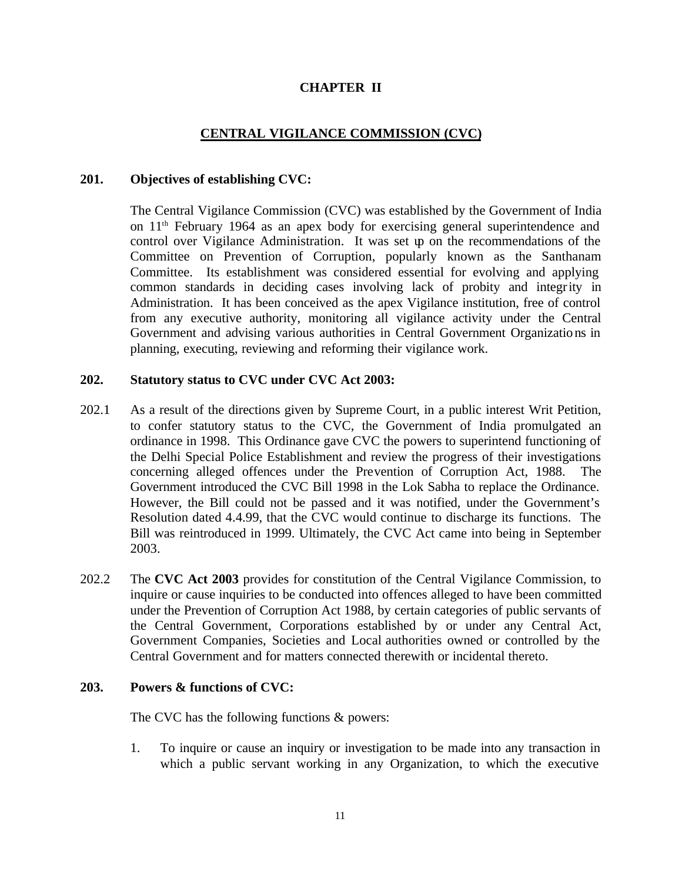### **CHAPTER II**

### **CENTRAL VIGILANCE COMMISSION (CVC)**

#### **201. Objectives of establishing CVC:**

The Central Vigilance Commission (CVC) was established by the Government of India on 11th February 1964 as an apex body for exercising general superintendence and control over Vigilance Administration. It was set up on the recommendations of the Committee on Prevention of Corruption, popularly known as the Santhanam Committee. Its establishment was considered essential for evolving and applying common standards in deciding cases involving lack of probity and integrity in Administration. It has been conceived as the apex Vigilance institution, free of control from any executive authority, monitoring all vigilance activity under the Central Government and advising various authorities in Central Government Organizations in planning, executing, reviewing and reforming their vigilance work.

### **202. Statutory status to CVC under CVC Act 2003:**

- 202.1 As a result of the directions given by Supreme Court, in a public interest Writ Petition, to confer statutory status to the CVC, the Government of India promulgated an ordinance in 1998. This Ordinance gave CVC the powers to superintend functioning of the Delhi Special Police Establishment and review the progress of their investigations concerning alleged offences under the Prevention of Corruption Act, 1988. The Government introduced the CVC Bill 1998 in the Lok Sabha to replace the Ordinance. However, the Bill could not be passed and it was notified, under the Government's Resolution dated 4.4.99, that the CVC would continue to discharge its functions. The Bill was reintroduced in 1999. Ultimately, the CVC Act came into being in September 2003.
- 202.2 The **CVC Act 2003** provides for constitution of the Central Vigilance Commission, to inquire or cause inquiries to be conducted into offences alleged to have been committed under the Prevention of Corruption Act 1988, by certain categories of public servants of the Central Government, Corporations established by or under any Central Act, Government Companies, Societies and Local authorities owned or controlled by the Central Government and for matters connected therewith or incidental thereto.

#### **203. Powers & functions of CVC:**

The CVC has the following functions & powers:

1. To inquire or cause an inquiry or investigation to be made into any transaction in which a public servant working in any Organization, to which the executive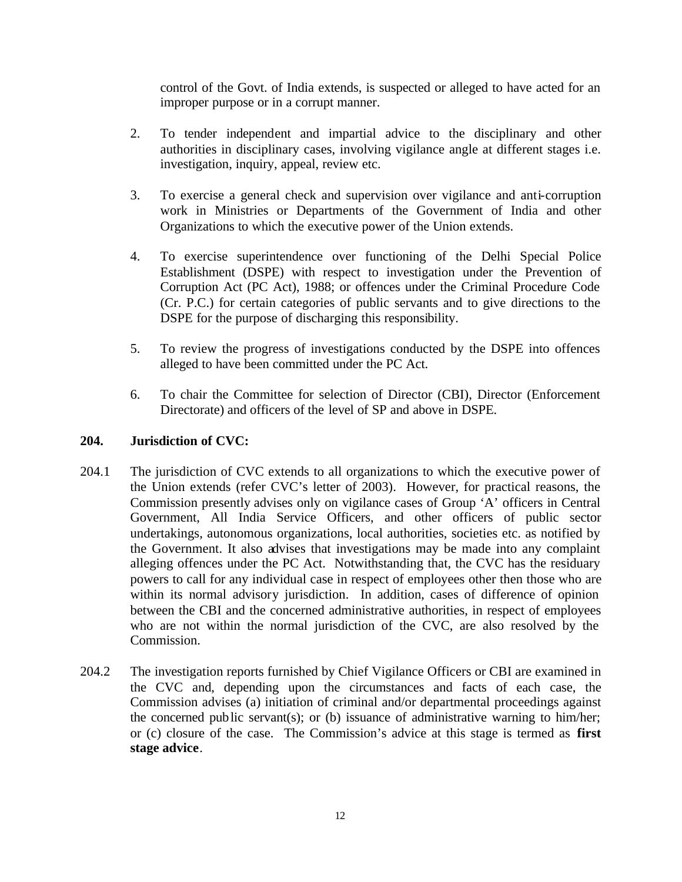control of the Govt. of India extends, is suspected or alleged to have acted for an improper purpose or in a corrupt manner.

- 2. To tender independent and impartial advice to the disciplinary and other authorities in disciplinary cases, involving vigilance angle at different stages i.e. investigation, inquiry, appeal, review etc.
- 3. To exercise a general check and supervision over vigilance and anti-corruption work in Ministries or Departments of the Government of India and other Organizations to which the executive power of the Union extends.
- 4. To exercise superintendence over functioning of the Delhi Special Police Establishment (DSPE) with respect to investigation under the Prevention of Corruption Act (PC Act), 1988; or offences under the Criminal Procedure Code (Cr. P.C.) for certain categories of public servants and to give directions to the DSPE for the purpose of discharging this responsibility.
- 5. To review the progress of investigations conducted by the DSPE into offences alleged to have been committed under the PC Act.
- 6. To chair the Committee for selection of Director (CBI), Director (Enforcement Directorate) and officers of the level of SP and above in DSPE.

### **204. Jurisdiction of CVC:**

- 204.1 The jurisdiction of CVC extends to all organizations to which the executive power of the Union extends (refer CVC's letter of 2003). However, for practical reasons, the Commission presently advises only on vigilance cases of Group 'A' officers in Central Government, All India Service Officers, and other officers of public sector undertakings, autonomous organizations, local authorities, societies etc. as notified by the Government. It also advises that investigations may be made into any complaint alleging offences under the PC Act. Notwithstanding that, the CVC has the residuary powers to call for any individual case in respect of employees other then those who are within its normal advisory jurisdiction. In addition, cases of difference of opinion between the CBI and the concerned administrative authorities, in respect of employees who are not within the normal jurisdiction of the CVC, are also resolved by the Commission.
- 204.2 The investigation reports furnished by Chief Vigilance Officers or CBI are examined in the CVC and, depending upon the circumstances and facts of each case, the Commission advises (a) initiation of criminal and/or departmental proceedings against the concerned public servant(s); or (b) issuance of administrative warning to him/her; or (c) closure of the case. The Commission's advice at this stage is termed as **first stage advice**.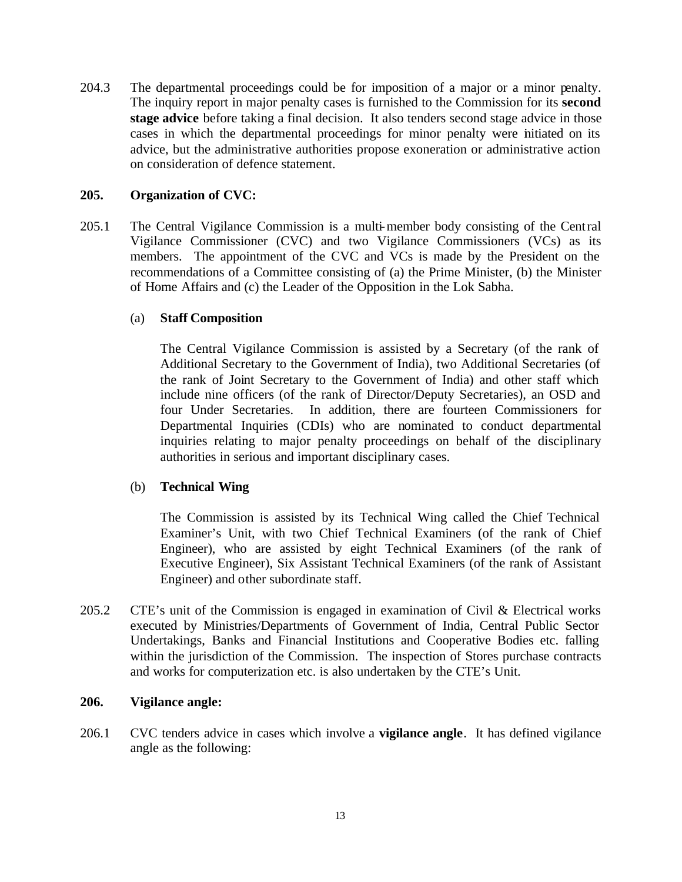204.3 The departmental proceedings could be for imposition of a major or a minor penalty. The inquiry report in major penalty cases is furnished to the Commission for its **second stage advice** before taking a final decision. It also tenders second stage advice in those cases in which the departmental proceedings for minor penalty were initiated on its advice, but the administrative authorities propose exoneration or administrative action on consideration of defence statement.

### **205. Organization of CVC:**

205.1 The Central Vigilance Commission is a multi-member body consisting of the Central Vigilance Commissioner (CVC) and two Vigilance Commissioners (VCs) as its members. The appointment of the CVC and VCs is made by the President on the recommendations of a Committee consisting of (a) the Prime Minister, (b) the Minister of Home Affairs and (c) the Leader of the Opposition in the Lok Sabha.

### (a) **Staff Composition**

The Central Vigilance Commission is assisted by a Secretary (of the rank of Additional Secretary to the Government of India), two Additional Secretaries (of the rank of Joint Secretary to the Government of India) and other staff which include nine officers (of the rank of Director/Deputy Secretaries), an OSD and four Under Secretaries. In addition, there are fourteen Commissioners for Departmental Inquiries (CDIs) who are nominated to conduct departmental inquiries relating to major penalty proceedings on behalf of the disciplinary authorities in serious and important disciplinary cases.

### (b) **Technical Wing**

The Commission is assisted by its Technical Wing called the Chief Technical Examiner's Unit, with two Chief Technical Examiners (of the rank of Chief Engineer), who are assisted by eight Technical Examiners (of the rank of Executive Engineer), Six Assistant Technical Examiners (of the rank of Assistant Engineer) and other subordinate staff.

205.2 CTE's unit of the Commission is engaged in examination of Civil & Electrical works executed by Ministries/Departments of Government of India, Central Public Sector Undertakings, Banks and Financial Institutions and Cooperative Bodies etc. falling within the jurisdiction of the Commission. The inspection of Stores purchase contracts and works for computerization etc. is also undertaken by the CTE's Unit.

#### **206. Vigilance angle:**

206.1 CVC tenders advice in cases which involve a **vigilance angle**. It has defined vigilance angle as the following: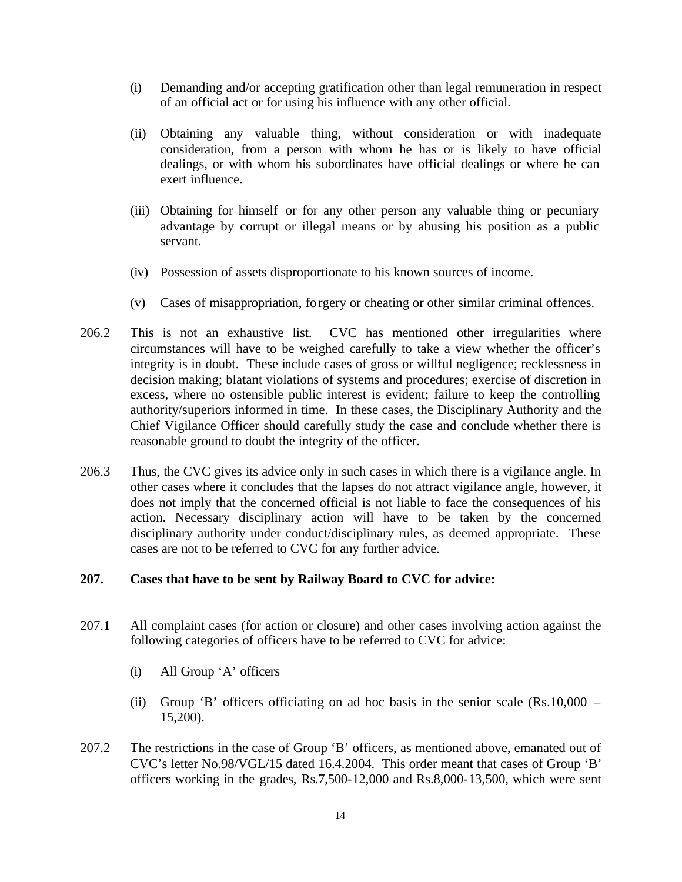- (i) Demanding and/or accepting gratification other than legal remuneration in respect of an official act or for using his influence with any other official.
- (ii) Obtaining any valuable thing, without consideration or with inadequate consideration, from a person with whom he has or is likely to have official dealings, or with whom his subordinates have official dealings or where he can exert influence.
- (iii) Obtaining for himself or for any other person any valuable thing or pecuniary advantage by corrupt or illegal means or by abusing his position as a public servant.
- (iv) Possession of assets disproportionate to his known sources of income.
- (v) Cases of misappropriation, forgery or cheating or other similar criminal offences.
- 206.2 This is not an exhaustive list. CVC has mentioned other irregularities where circumstances will have to be weighed carefully to take a view whether the officer's integrity is in doubt. These include cases of gross or willful negligence; recklessness in decision making; blatant violations of systems and procedures; exercise of discretion in excess, where no ostensible public interest is evident; failure to keep the controlling authority/superiors informed in time. In these cases, the Disciplinary Authority and the Chief Vigilance Officer should carefully study the case and conclude whether there is reasonable ground to doubt the integrity of the officer.
- 206.3 Thus, the CVC gives its advice only in such cases in which there is a vigilance angle. In other cases where it concludes that the lapses do not attract vigilance angle, however, it does not imply that the concerned official is not liable to face the consequences of his action. Necessary disciplinary action will have to be taken by the concerned disciplinary authority under conduct/disciplinary rules, as deemed appropriate. These cases are not to be referred to CVC for any further advice.

### **207. Cases that have to be sent by Railway Board to CVC for advice:**

- 207.1 All complaint cases (for action or closure) and other cases involving action against the following categories of officers have to be referred to CVC for advice:
	- (i) All Group 'A' officers
	- (ii) Group 'B' officers officiating on ad hoc basis in the senior scale  $(Rs.10,000 -$ 15,200).
- 207.2 The restrictions in the case of Group 'B' officers, as mentioned above, emanated out of CVC's letter No.98/VGL/15 dated 16.4.2004. This order meant that cases of Group 'B' officers working in the grades, Rs.7,500-12,000 and Rs.8,000-13,500, which were sent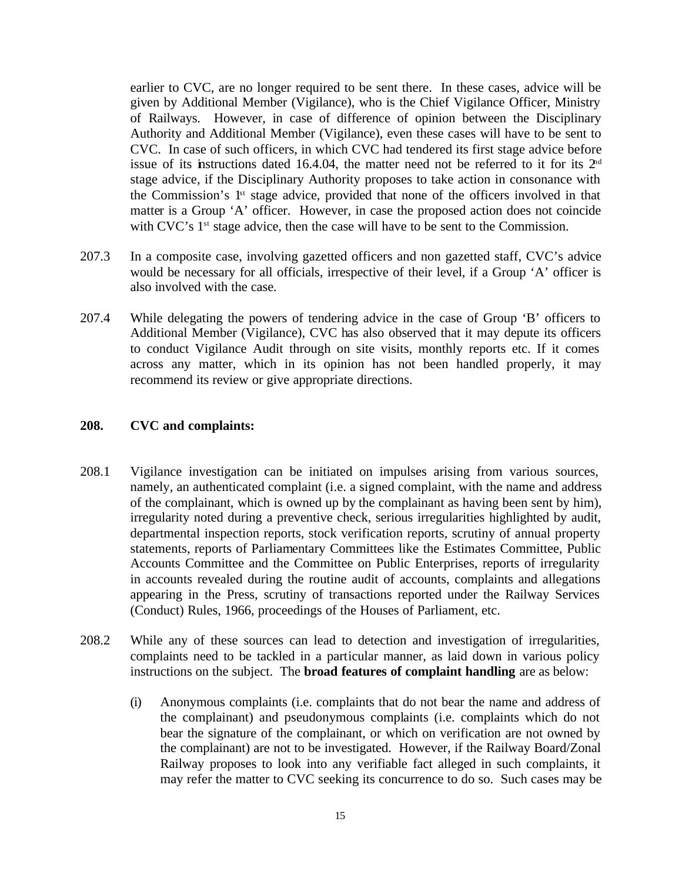earlier to CVC, are no longer required to be sent there. In these cases, advice will be given by Additional Member (Vigilance), who is the Chief Vigilance Officer, Ministry of Railways. However, in case of difference of opinion between the Disciplinary Authority and Additional Member (Vigilance), even these cases will have to be sent to CVC. In case of such officers, in which CVC had tendered its first stage advice before issue of its instructions dated 16.4.04, the matter need not be referred to it for its  $2<sup>nd</sup>$ stage advice, if the Disciplinary Authority proposes to take action in consonance with the Commission's 1st stage advice, provided that none of the officers involved in that matter is a Group 'A' officer. However, in case the proposed action does not coincide with CVC's 1<sup>st</sup> stage advice, then the case will have to be sent to the Commission.

- 207.3 In a composite case, involving gazetted officers and non gazetted staff, CVC's advice would be necessary for all officials, irrespective of their level, if a Group 'A' officer is also involved with the case.
- 207.4 While delegating the powers of tendering advice in the case of Group 'B' officers to Additional Member (Vigilance), CVC has also observed that it may depute its officers to conduct Vigilance Audit through on site visits, monthly reports etc. If it comes across any matter, which in its opinion has not been handled properly, it may recommend its review or give appropriate directions.

### **208. CVC and complaints:**

- 208.1 Vigilance investigation can be initiated on impulses arising from various sources, namely, an authenticated complaint (i.e. a signed complaint, with the name and address of the complainant, which is owned up by the complainant as having been sent by him), irregularity noted during a preventive check, serious irregularities highlighted by audit, departmental inspection reports, stock verification reports, scrutiny of annual property statements, reports of Parliamentary Committees like the Estimates Committee, Public Accounts Committee and the Committee on Public Enterprises, reports of irregularity in accounts revealed during the routine audit of accounts, complaints and allegations appearing in the Press, scrutiny of transactions reported under the Railway Services (Conduct) Rules, 1966, proceedings of the Houses of Parliament, etc.
- 208.2 While any of these sources can lead to detection and investigation of irregularities, complaints need to be tackled in a particular manner, as laid down in various policy instructions on the subject. The **broad features of complaint handling** are as below:
	- (i) Anonymous complaints (i.e. complaints that do not bear the name and address of the complainant) and pseudonymous complaints (i.e. complaints which do not bear the signature of the complainant, or which on verification are not owned by the complainant) are not to be investigated. However, if the Railway Board/Zonal Railway proposes to look into any verifiable fact alleged in such complaints, it may refer the matter to CVC seeking its concurrence to do so. Such cases may be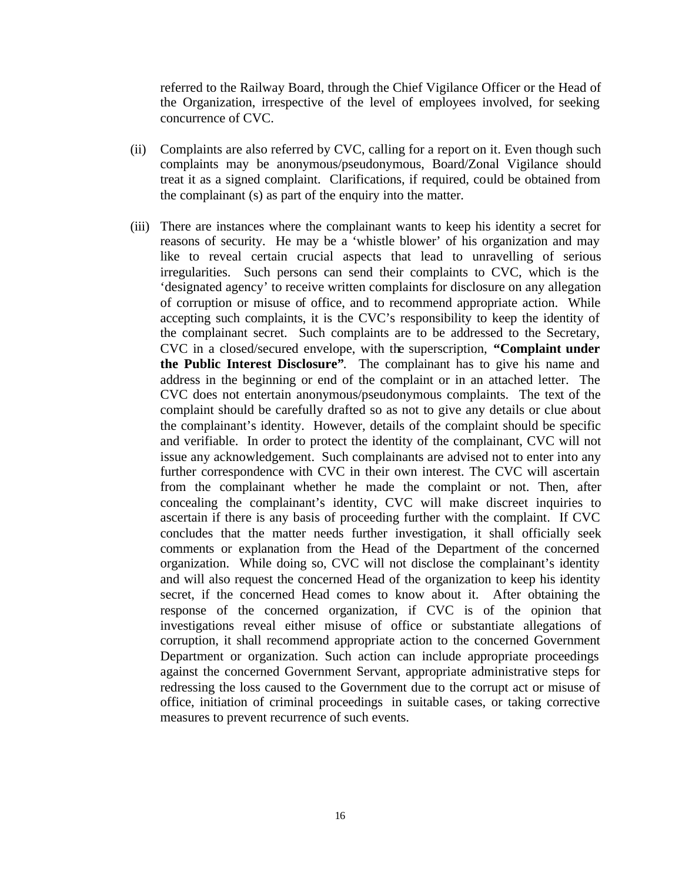referred to the Railway Board, through the Chief Vigilance Officer or the Head of the Organization, irrespective of the level of employees involved, for seeking concurrence of CVC.

- (ii) Complaints are also referred by CVC, calling for a report on it. Even though such complaints may be anonymous/pseudonymous, Board/Zonal Vigilance should treat it as a signed complaint. Clarifications, if required, could be obtained from the complainant (s) as part of the enquiry into the matter.
- (iii) There are instances where the complainant wants to keep his identity a secret for reasons of security. He may be a 'whistle blower' of his organization and may like to reveal certain crucial aspects that lead to unravelling of serious irregularities. Such persons can send their complaints to CVC, which is the 'designated agency' to receive written complaints for disclosure on any allegation of corruption or misuse of office, and to recommend appropriate action. While accepting such complaints, it is the CVC's responsibility to keep the identity of the complainant secret. Such complaints are to be addressed to the Secretary, CVC in a closed/secured envelope, with the superscription, **"Complaint under the Public Interest Disclosure"**. The complainant has to give his name and address in the beginning or end of the complaint or in an attached letter. The CVC does not entertain anonymous/pseudonymous complaints. The text of the complaint should be carefully drafted so as not to give any details or clue about the complainant's identity. However, details of the complaint should be specific and verifiable. In order to protect the identity of the complainant, CVC will not issue any acknowledgement. Such complainants are advised not to enter into any further correspondence with CVC in their own interest. The CVC will ascertain from the complainant whether he made the complaint or not. Then, after concealing the complainant's identity, CVC will make discreet inquiries to ascertain if there is any basis of proceeding further with the complaint. If CVC concludes that the matter needs further investigation, it shall officially seek comments or explanation from the Head of the Department of the concerned organization. While doing so, CVC will not disclose the complainant's identity and will also request the concerned Head of the organization to keep his identity secret, if the concerned Head comes to know about it. After obtaining the response of the concerned organization, if CVC is of the opinion that investigations reveal either misuse of office or substantiate allegations of corruption, it shall recommend appropriate action to the concerned Government Department or organization. Such action can include appropriate proceedings against the concerned Government Servant, appropriate administrative steps for redressing the loss caused to the Government due to the corrupt act or misuse of office, initiation of criminal proceedings in suitable cases, or taking corrective measures to prevent recurrence of such events.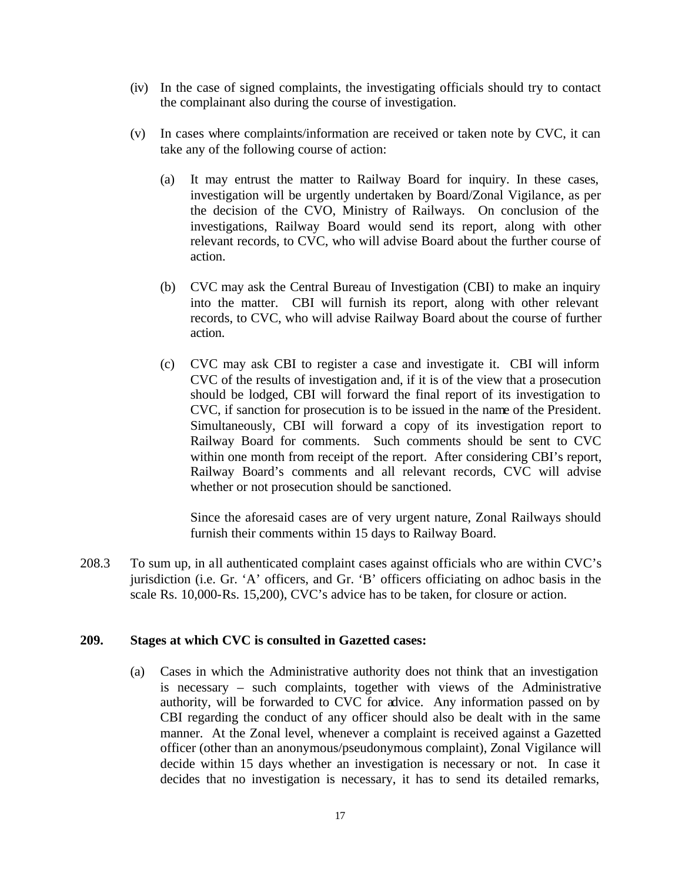- (iv) In the case of signed complaints, the investigating officials should try to contact the complainant also during the course of investigation.
- (v) In cases where complaints/information are received or taken note by CVC, it can take any of the following course of action:
	- (a) It may entrust the matter to Railway Board for inquiry. In these cases, investigation will be urgently undertaken by Board/Zonal Vigilance, as per the decision of the CVO, Ministry of Railways. On conclusion of the investigations, Railway Board would send its report, along with other relevant records, to CVC, who will advise Board about the further course of action.
	- (b) CVC may ask the Central Bureau of Investigation (CBI) to make an inquiry into the matter. CBI will furnish its report, along with other relevant records, to CVC, who will advise Railway Board about the course of further action.
	- (c) CVC may ask CBI to register a case and investigate it. CBI will inform CVC of the results of investigation and, if it is of the view that a prosecution should be lodged, CBI will forward the final report of its investigation to CVC, if sanction for prosecution is to be issued in the name of the President. Simultaneously, CBI will forward a copy of its investigation report to Railway Board for comments. Such comments should be sent to CVC within one month from receipt of the report. After considering CBI's report, Railway Board's comments and all relevant records, CVC will advise whether or not prosecution should be sanctioned.

Since the aforesaid cases are of very urgent nature, Zonal Railways should furnish their comments within 15 days to Railway Board.

208.3 To sum up, in all authenticated complaint cases against officials who are within CVC's jurisdiction (i.e. Gr. 'A' officers, and Gr. 'B' officers officiating on adhoc basis in the scale Rs. 10,000-Rs. 15,200), CVC's advice has to be taken, for closure or action.

#### **209. Stages at which CVC is consulted in Gazetted cases:**

(a) Cases in which the Administrative authority does not think that an investigation is necessary – such complaints, together with views of the Administrative authority, will be forwarded to CVC for advice. Any information passed on by CBI regarding the conduct of any officer should also be dealt with in the same manner. At the Zonal level, whenever a complaint is received against a Gazetted officer (other than an anonymous/pseudonymous complaint), Zonal Vigilance will decide within 15 days whether an investigation is necessary or not. In case it decides that no investigation is necessary, it has to send its detailed remarks,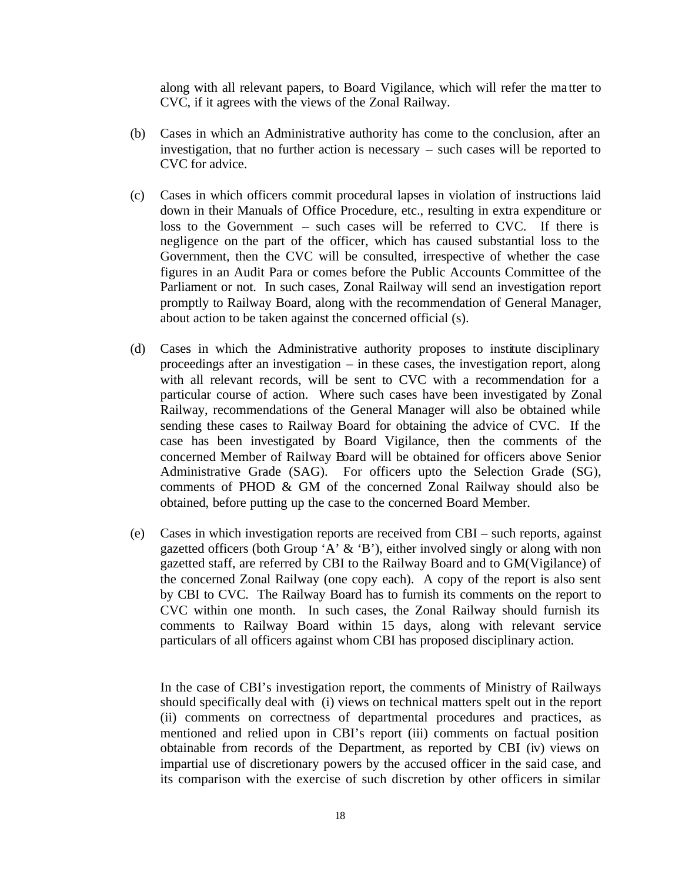along with all relevant papers, to Board Vigilance, which will refer the ma tter to CVC, if it agrees with the views of the Zonal Railway.

- (b) Cases in which an Administrative authority has come to the conclusion, after an investigation, that no further action is necessary – such cases will be reported to CVC for advice.
- (c) Cases in which officers commit procedural lapses in violation of instructions laid down in their Manuals of Office Procedure, etc., resulting in extra expenditure or loss to the Government – such cases will be referred to CVC. If there is negligence on the part of the officer, which has caused substantial loss to the Government, then the CVC will be consulted, irrespective of whether the case figures in an Audit Para or comes before the Public Accounts Committee of the Parliament or not. In such cases, Zonal Railway will send an investigation report promptly to Railway Board, along with the recommendation of General Manager, about action to be taken against the concerned official (s).
- (d) Cases in which the Administrative authority proposes to institute disciplinary proceedings after an investigation – in these cases, the investigation report, along with all relevant records, will be sent to CVC with a recommendation for a particular course of action. Where such cases have been investigated by Zonal Railway, recommendations of the General Manager will also be obtained while sending these cases to Railway Board for obtaining the advice of CVC. If the case has been investigated by Board Vigilance, then the comments of the concerned Member of Railway Board will be obtained for officers above Senior Administrative Grade (SAG). For officers upto the Selection Grade (SG), comments of PHOD & GM of the concerned Zonal Railway should also be obtained, before putting up the case to the concerned Board Member.
- (e) Cases in which investigation reports are received from CBI such reports, against gazetted officers (both Group 'A'  $\&$  'B'), either involved singly or along with non gazetted staff, are referred by CBI to the Railway Board and to GM(Vigilance) of the concerned Zonal Railway (one copy each). A copy of the report is also sent by CBI to CVC. The Railway Board has to furnish its comments on the report to CVC within one month. In such cases, the Zonal Railway should furnish its comments to Railway Board within 15 days, along with relevant service particulars of all officers against whom CBI has proposed disciplinary action.

In the case of CBI's investigation report, the comments of Ministry of Railways should specifically deal with (i) views on technical matters spelt out in the report (ii) comments on correctness of departmental procedures and practices, as mentioned and relied upon in CBI's report (iii) comments on factual position obtainable from records of the Department, as reported by CBI (iv) views on impartial use of discretionary powers by the accused officer in the said case, and its comparison with the exercise of such discretion by other officers in similar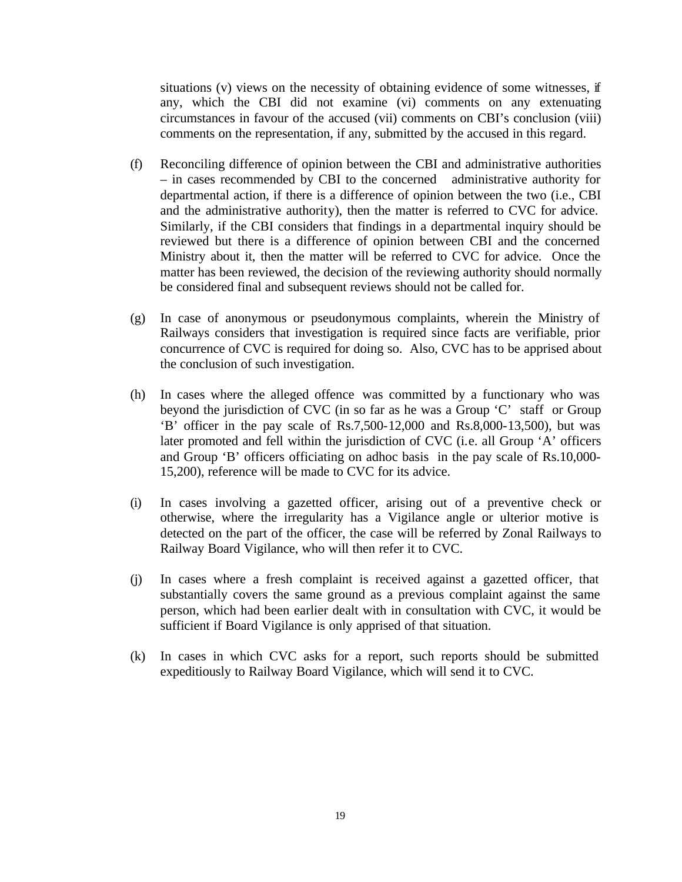situations (v) views on the necessity of obtaining evidence of some witnesses, if any, which the CBI did not examine (vi) comments on any extenuating circumstances in favour of the accused (vii) comments on CBI's conclusion (viii) comments on the representation, if any, submitted by the accused in this regard.

- (f) Reconciling difference of opinion between the CBI and administrative authorities – in cases recommended by CBI to the concerned administrative authority for departmental action, if there is a difference of opinion between the two (i.e., CBI and the administrative authority), then the matter is referred to CVC for advice. Similarly, if the CBI considers that findings in a departmental inquiry should be reviewed but there is a difference of opinion between CBI and the concerned Ministry about it, then the matter will be referred to CVC for advice. Once the matter has been reviewed, the decision of the reviewing authority should normally be considered final and subsequent reviews should not be called for.
- (g) In case of anonymous or pseudonymous complaints, wherein the Ministry of Railways considers that investigation is required since facts are verifiable, prior concurrence of CVC is required for doing so. Also, CVC has to be apprised about the conclusion of such investigation.
- (h) In cases where the alleged offence was committed by a functionary who was beyond the jurisdiction of CVC (in so far as he was a Group 'C' staff or Group 'B' officer in the pay scale of Rs.7,500-12,000 and Rs.8,000-13,500), but was later promoted and fell within the jurisdiction of CVC (i.e. all Group 'A' officers and Group 'B' officers officiating on adhoc basis in the pay scale of Rs.10,000- 15,200), reference will be made to CVC for its advice.
- (i) In cases involving a gazetted officer, arising out of a preventive check or otherwise, where the irregularity has a Vigilance angle or ulterior motive is detected on the part of the officer, the case will be referred by Zonal Railways to Railway Board Vigilance, who will then refer it to CVC.
- (j) In cases where a fresh complaint is received against a gazetted officer, that substantially covers the same ground as a previous complaint against the same person, which had been earlier dealt with in consultation with CVC, it would be sufficient if Board Vigilance is only apprised of that situation.
- (k) In cases in which CVC asks for a report, such reports should be submitted expeditiously to Railway Board Vigilance, which will send it to CVC.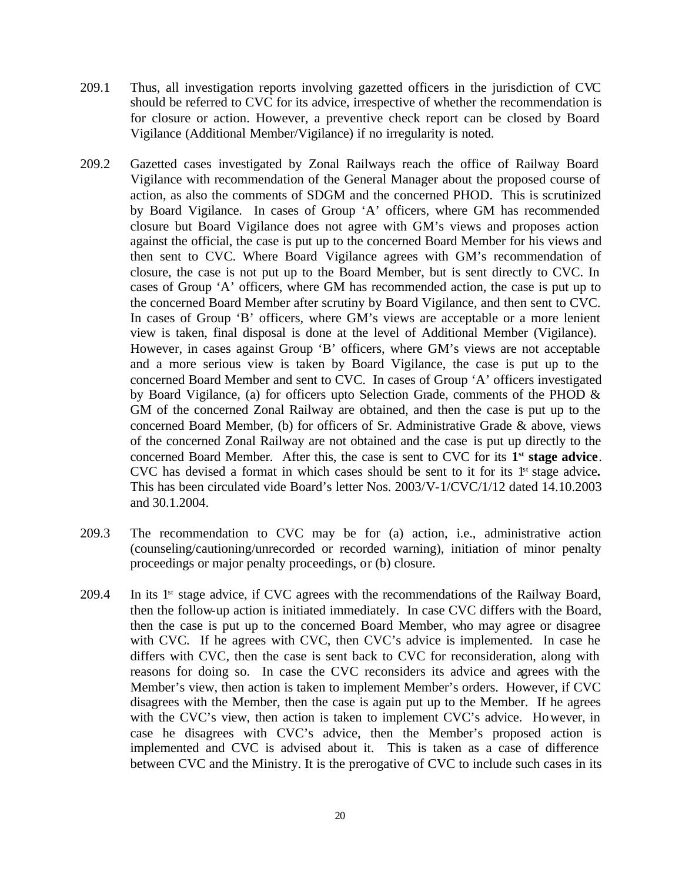- 209.1 Thus, all investigation reports involving gazetted officers in the jurisdiction of CVC should be referred to CVC for its advice, irrespective of whether the recommendation is for closure or action. However, a preventive check report can be closed by Board Vigilance (Additional Member/Vigilance) if no irregularity is noted.
- 209.2 Gazetted cases investigated by Zonal Railways reach the office of Railway Board Vigilance with recommendation of the General Manager about the proposed course of action, as also the comments of SDGM and the concerned PHOD. This is scrutinized by Board Vigilance. In cases of Group 'A' officers, where GM has recommended closure but Board Vigilance does not agree with GM's views and proposes action against the official, the case is put up to the concerned Board Member for his views and then sent to CVC. Where Board Vigilance agrees with GM's recommendation of closure, the case is not put up to the Board Member, but is sent directly to CVC. In cases of Group 'A' officers, where GM has recommended action, the case is put up to the concerned Board Member after scrutiny by Board Vigilance, and then sent to CVC. In cases of Group 'B' officers, where GM's views are acceptable or a more lenient view is taken, final disposal is done at the level of Additional Member (Vigilance). However, in cases against Group 'B' officers, where GM's views are not acceptable and a more serious view is taken by Board Vigilance, the case is put up to the concerned Board Member and sent to CVC. In cases of Group 'A' officers investigated by Board Vigilance, (a) for officers upto Selection Grade, comments of the PHOD  $\&$ GM of the concerned Zonal Railway are obtained, and then the case is put up to the concerned Board Member, (b) for officers of Sr. Administrative Grade & above, views of the concerned Zonal Railway are not obtained and the case is put up directly to the concerned Board Member. After this, the case is sent to CVC for its **1 st stage advice**. CVC has devised a format in which cases should be sent to it for its 1st stage advice**.** This has been circulated vide Board's letter Nos. 2003/V-1/CVC/1/12 dated 14.10.2003 and 30.1.2004.
- 209.3 The recommendation to CVC may be for (a) action, i.e., administrative action (counseling/cautioning/unrecorded or recorded warning), initiation of minor penalty proceedings or major penalty proceedings, or (b) closure.
- 209.4 In its 1st stage advice, if CVC agrees with the recommendations of the Railway Board, then the follow-up action is initiated immediately. In case CVC differs with the Board, then the case is put up to the concerned Board Member, who may agree or disagree with CVC. If he agrees with CVC, then CVC's advice is implemented. In case he differs with CVC, then the case is sent back to CVC for reconsideration, along with reasons for doing so. In case the CVC reconsiders its advice and agrees with the Member's view, then action is taken to implement Member's orders. However, if CVC disagrees with the Member, then the case is again put up to the Member. If he agrees with the CVC's view, then action is taken to implement CVC's advice. However, in case he disagrees with CVC's advice, then the Member's proposed action is implemented and CVC is advised about it. This is taken as a case of difference between CVC and the Ministry. It is the prerogative of CVC to include such cases in its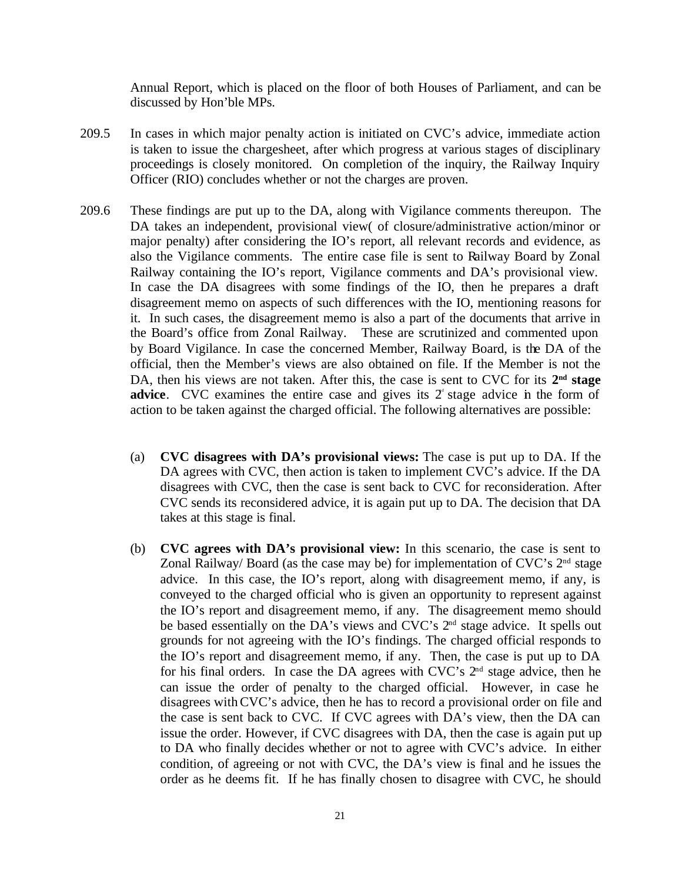Annual Report, which is placed on the floor of both Houses of Parliament, and can be discussed by Hon'ble MPs.

- 209.5 In cases in which major penalty action is initiated on CVC's advice, immediate action is taken to issue the chargesheet, after which progress at various stages of disciplinary proceedings is closely monitored. On completion of the inquiry, the Railway Inquiry Officer (RIO) concludes whether or not the charges are proven.
- 209.6 These findings are put up to the DA, along with Vigilance comments thereupon. The DA takes an independent, provisional view( of closure/administrative action/minor or major penalty) after considering the IO's report, all relevant records and evidence, as also the Vigilance comments. The entire case file is sent to Railway Board by Zonal Railway containing the IO's report, Vigilance comments and DA's provisional view. In case the DA disagrees with some findings of the IO, then he prepares a draft disagreement memo on aspects of such differences with the IO, mentioning reasons for it. In such cases, the disagreement memo is also a part of the documents that arrive in the Board's office from Zonal Railway. These are scrutinized and commented upon by Board Vigilance. In case the concerned Member, Railway Board, is the DA of the official, then the Member's views are also obtained on file. If the Member is not the DA, then his views are not taken. After this, the case is sent to CVC for its  $2<sup>nd</sup>$  stage **advice.** CVC examines the entire case and gives its  $2^{\circ}$  stage advice in the form of action to be taken against the charged official. The following alternatives are possible:
	- (a) **CVC disagrees with DA's provisional views:** The case is put up to DA. If the DA agrees with CVC, then action is taken to implement CVC's advice. If the DA disagrees with CVC, then the case is sent back to CVC for reconsideration. After CVC sends its reconsidered advice, it is again put up to DA. The decision that DA takes at this stage is final.
	- (b) **CVC agrees with DA's provisional view:** In this scenario, the case is sent to Zonal Railway/ Board (as the case may be) for implementation of CVC's  $2<sup>nd</sup>$  stage advice. In this case, the IO's report, along with disagreement memo, if any, is conveyed to the charged official who is given an opportunity to represent against the IO's report and disagreement memo, if any. The disagreement memo should be based essentially on the DA's views and CVC's 2<sup>nd</sup> stage advice. It spells out grounds for not agreeing with the IO's findings. The charged official responds to the IO's report and disagreement memo, if any. Then, the case is put up to DA for his final orders. In case the DA agrees with CVC's 2nd stage advice, then he can issue the order of penalty to the charged official. However, in case he disagrees with CVC's advice, then he has to record a provisional order on file and the case is sent back to CVC. If CVC agrees with DA's view, then the DA can issue the order. However, if CVC disagrees with DA, then the case is again put up to DA who finally decides whether or not to agree with CVC's advice. In either condition, of agreeing or not with CVC, the DA's view is final and he issues the order as he deems fit. If he has finally chosen to disagree with CVC, he should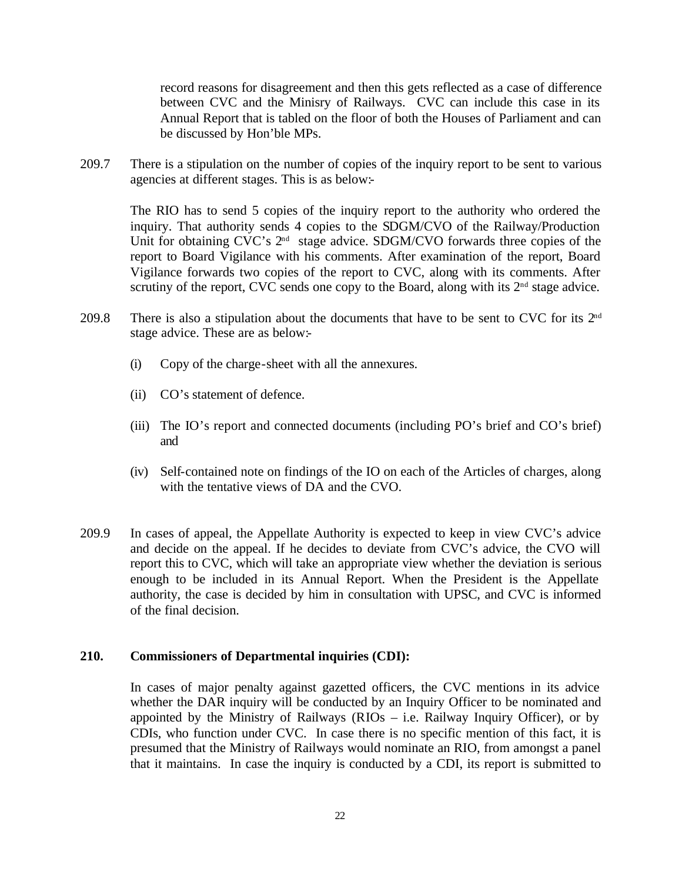record reasons for disagreement and then this gets reflected as a case of difference between CVC and the Minisry of Railways. CVC can include this case in its Annual Report that is tabled on the floor of both the Houses of Parliament and can be discussed by Hon'ble MPs.

209.7 There is a stipulation on the number of copies of the inquiry report to be sent to various agencies at different stages. This is as below:-

The RIO has to send 5 copies of the inquiry report to the authority who ordered the inquiry. That authority sends 4 copies to the SDGM/CVO of the Railway/Production Unit for obtaining CVC's  $2^{nd}$  stage advice. SDGM/CVO forwards three copies of the report to Board Vigilance with his comments. After examination of the report, Board Vigilance forwards two copies of the report to CVC, along with its comments. After scrutiny of the report, CVC sends one copy to the Board, along with its  $2<sup>nd</sup>$  stage advice.

- 209.8 There is also a stipulation about the documents that have to be sent to CVC for its  $2<sup>nd</sup>$ stage advice. These are as below:-
	- (i) Copy of the charge-sheet with all the annexures.
	- (ii) CO's statement of defence.
	- (iii) The IO's report and connected documents (including PO's brief and CO's brief) and
	- (iv) Self-contained note on findings of the IO on each of the Articles of charges, along with the tentative views of DA and the CVO.
- 209.9 In cases of appeal, the Appellate Authority is expected to keep in view CVC's advice and decide on the appeal. If he decides to deviate from CVC's advice, the CVO will report this to CVC, which will take an appropriate view whether the deviation is serious enough to be included in its Annual Report. When the President is the Appellate authority, the case is decided by him in consultation with UPSC, and CVC is informed of the final decision.

#### **210. Commissioners of Departmental inquiries (CDI):**

In cases of major penalty against gazetted officers, the CVC mentions in its advice whether the DAR inquiry will be conducted by an Inquiry Officer to be nominated and appointed by the Ministry of Railways (RIOs  $-$  i.e. Railway Inquiry Officer), or by CDIs, who function under CVC. In case there is no specific mention of this fact, it is presumed that the Ministry of Railways would nominate an RIO, from amongst a panel that it maintains. In case the inquiry is conducted by a CDI, its report is submitted to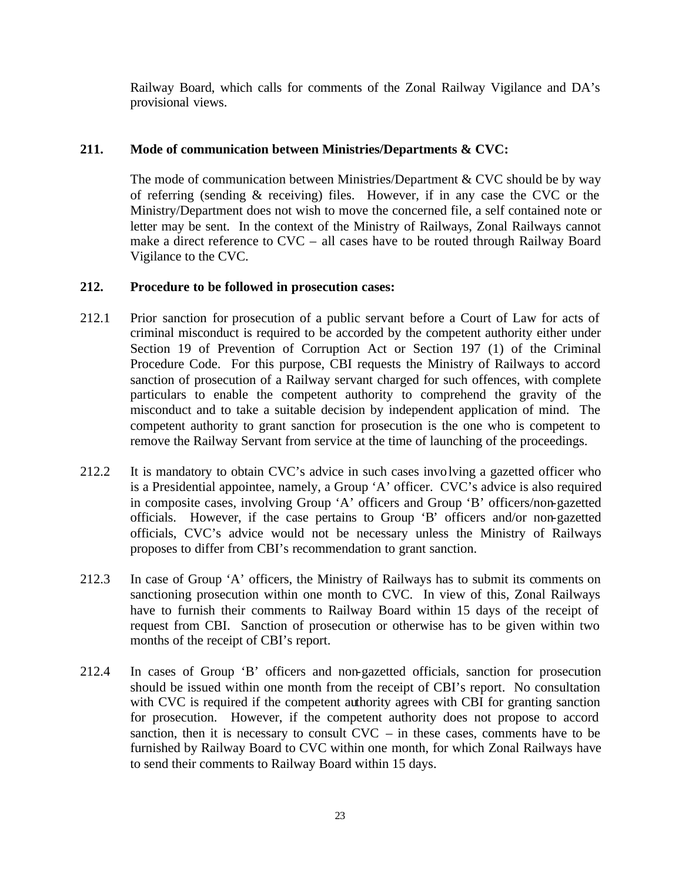Railway Board, which calls for comments of the Zonal Railway Vigilance and DA's provisional views.

### **211. Mode of communication between Ministries/Departments & CVC:**

The mode of communication between Ministries/Department & CVC should be by way of referring (sending & receiving) files. However, if in any case the CVC or the Ministry/Department does not wish to move the concerned file, a self contained note or letter may be sent. In the context of the Ministry of Railways, Zonal Railways cannot make a direct reference to CVC – all cases have to be routed through Railway Board Vigilance to the CVC.

### **212. Procedure to be followed in prosecution cases:**

- 212.1 Prior sanction for prosecution of a public servant before a Court of Law for acts of criminal misconduct is required to be accorded by the competent authority either under Section 19 of Prevention of Corruption Act or Section 197 (1) of the Criminal Procedure Code. For this purpose, CBI requests the Ministry of Railways to accord sanction of prosecution of a Railway servant charged for such offences, with complete particulars to enable the competent authority to comprehend the gravity of the misconduct and to take a suitable decision by independent application of mind. The competent authority to grant sanction for prosecution is the one who is competent to remove the Railway Servant from service at the time of launching of the proceedings.
- 212.2 It is mandatory to obtain CVC's advice in such cases involving a gazetted officer who is a Presidential appointee, namely, a Group 'A' officer. CVC's advice is also required in composite cases, involving Group 'A' officers and Group 'B' officers/non-gazetted officials. However, if the case pertains to Group 'B' officers and/or non-gazetted officials, CVC's advice would not be necessary unless the Ministry of Railways proposes to differ from CBI's recommendation to grant sanction.
- 212.3 In case of Group 'A' officers, the Ministry of Railways has to submit its comments on sanctioning prosecution within one month to CVC. In view of this, Zonal Railways have to furnish their comments to Railway Board within 15 days of the receipt of request from CBI. Sanction of prosecution or otherwise has to be given within two months of the receipt of CBI's report.
- 212.4 In cases of Group 'B' officers and non-gazetted officials, sanction for prosecution should be issued within one month from the receipt of CBI's report. No consultation with CVC is required if the competent authority agrees with CBI for granting sanction for prosecution. However, if the competent authority does not propose to accord sanction, then it is necessary to consult  $\text{CVC}$  – in these cases, comments have to be furnished by Railway Board to CVC within one month, for which Zonal Railways have to send their comments to Railway Board within 15 days.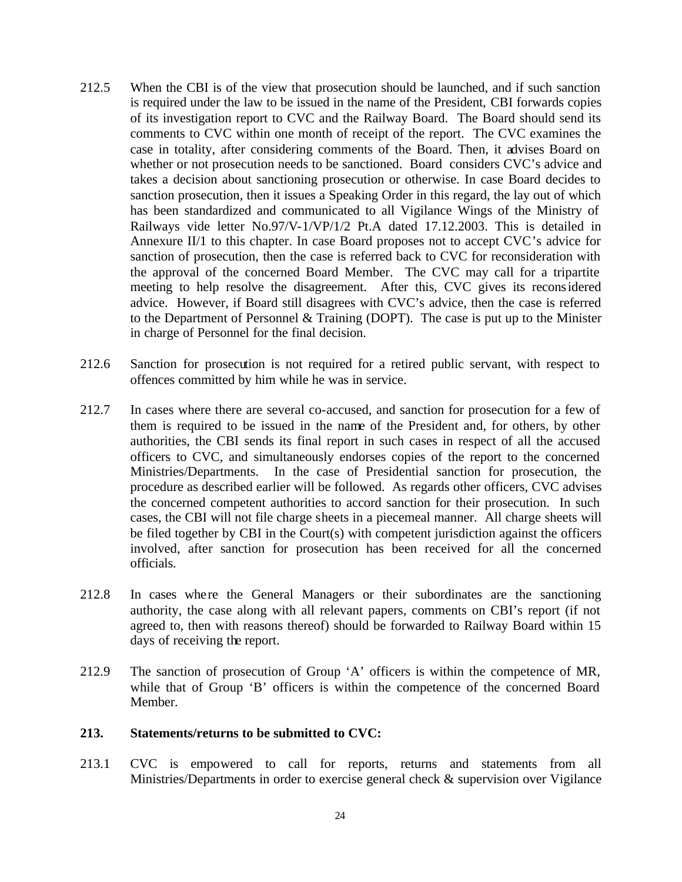- 212.5 When the CBI is of the view that prosecution should be launched, and if such sanction is required under the law to be issued in the name of the President, CBI forwards copies of its investigation report to CVC and the Railway Board. The Board should send its comments to CVC within one month of receipt of the report. The CVC examines the case in totality, after considering comments of the Board. Then, it advises Board on whether or not prosecution needs to be sanctioned. Board considers CVC's advice and takes a decision about sanctioning prosecution or otherwise. In case Board decides to sanction prosecution, then it issues a Speaking Order in this regard, the lay out of which has been standardized and communicated to all Vigilance Wings of the Ministry of Railways vide letter No.97/V-1/VP/1/2 Pt.A dated 17.12.2003. This is detailed in Annexure II/1 to this chapter. In case Board proposes not to accept CVC's advice for sanction of prosecution, then the case is referred back to CVC for reconsideration with the approval of the concerned Board Member. The CVC may call for a tripartite meeting to help resolve the disagreement. After this, CVC gives its reconsidered advice. However, if Board still disagrees with CVC's advice, then the case is referred to the Department of Personnel & Training (DOPT). The case is put up to the Minister in charge of Personnel for the final decision.
- 212.6 Sanction for prosecution is not required for a retired public servant, with respect to offences committed by him while he was in service.
- 212.7 In cases where there are several co-accused, and sanction for prosecution for a few of them is required to be issued in the name of the President and, for others, by other authorities, the CBI sends its final report in such cases in respect of all the accused officers to CVC, and simultaneously endorses copies of the report to the concerned Ministries/Departments. In the case of Presidential sanction for prosecution, the procedure as described earlier will be followed. As regards other officers, CVC advises the concerned competent authorities to accord sanction for their prosecution. In such cases, the CBI will not file charge sheets in a piecemeal manner. All charge sheets will be filed together by CBI in the Court(s) with competent jurisdiction against the officers involved, after sanction for prosecution has been received for all the concerned officials.
- 212.8 In cases where the General Managers or their subordinates are the sanctioning authority, the case along with all relevant papers, comments on CBI's report (if not agreed to, then with reasons thereof) should be forwarded to Railway Board within 15 days of receiving the report.
- 212.9 The sanction of prosecution of Group 'A' officers is within the competence of MR, while that of Group 'B' officers is within the competence of the concerned Board Member.

#### **213. Statements/returns to be submitted to CVC:**

213.1 CVC is empowered to call for reports, returns and statements from all Ministries/Departments in order to exercise general check & supervision over Vigilance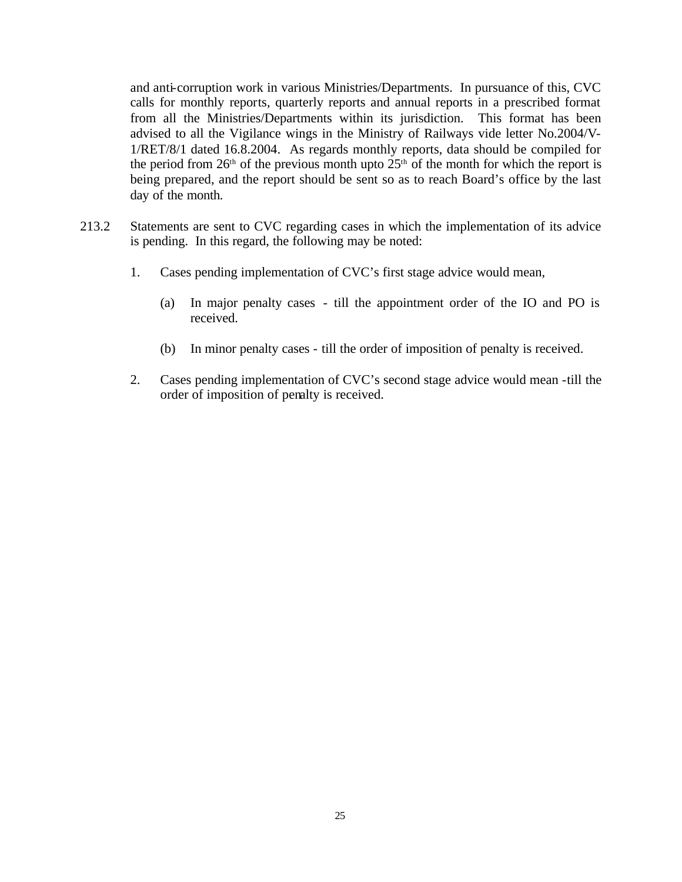and anti-corruption work in various Ministries/Departments. In pursuance of this, CVC calls for monthly reports, quarterly reports and annual reports in a prescribed format from all the Ministries/Departments within its jurisdiction. This format has been advised to all the Vigilance wings in the Ministry of Railways vide letter No.2004/V-1/RET/8/1 dated 16.8.2004. As regards monthly reports, data should be compiled for the period from  $26<sup>th</sup>$  of the previous month upto  $25<sup>th</sup>$  of the month for which the report is being prepared, and the report should be sent so as to reach Board's office by the last day of the month.

- 213.2 Statements are sent to CVC regarding cases in which the implementation of its advice is pending. In this regard, the following may be noted:
	- 1. Cases pending implementation of CVC's first stage advice would mean,
		- (a) In major penalty cases till the appointment order of the IO and PO is received.
		- (b) In minor penalty cases till the order of imposition of penalty is received.
	- 2. Cases pending implementation of CVC's second stage advice would mean -till the order of imposition of penalty is received.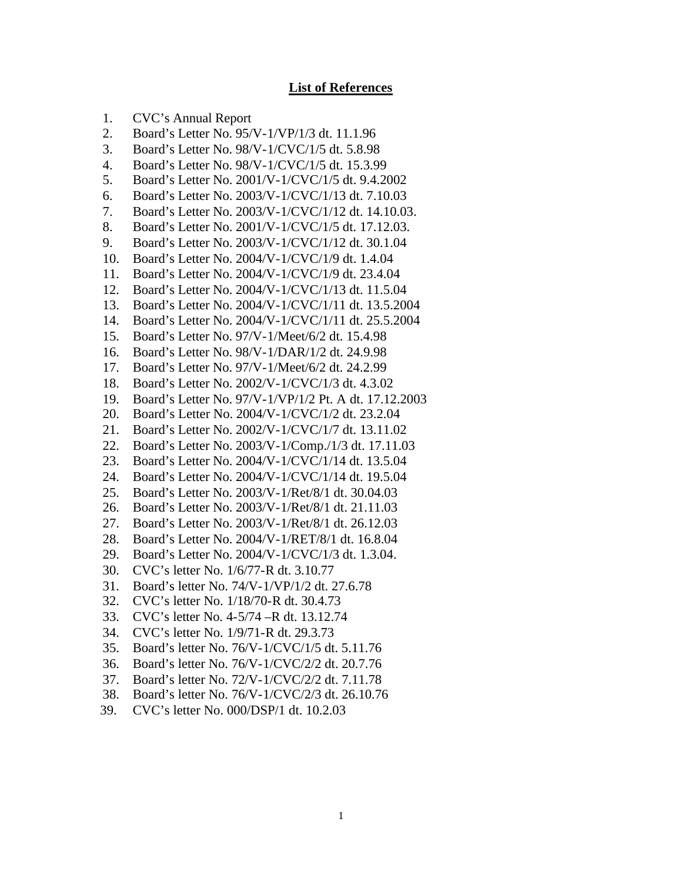#### **List of References**

- 1. CVC's Annual Report
- 2. Board's Letter No. 95/V-1/VP/1/3 dt. 11.1.96
- 3. Board's Letter No. 98/V-1/CVC/1/5 dt. 5.8.98
- 4. Board's Letter No. 98/V-1/CVC/1/5 dt. 15.3.99
- 5. Board's Letter No. 2001/V-1/CVC/1/5 dt. 9.4.2002
- 6. Board's Letter No. 2003/V-1/CVC/1/13 dt. 7.10.03
- 7. Board's Letter No. 2003/V-1/CVC/1/12 dt. 14.10.03.
- 8. Board's Letter No. 2001/V-1/CVC/1/5 dt. 17.12.03.
- 9. Board's Letter No. 2003/V-1/CVC/1/12 dt. 30.1.04
- 10. Board's Letter No. 2004/V-1/CVC/1/9 dt. 1.4.04
- 11. Board's Letter No. 2004/V-1/CVC/1/9 dt. 23.4.04
- 12. Board's Letter No. 2004/V-1/CVC/1/13 dt. 11.5.04
- 13. Board's Letter No. 2004/V-1/CVC/1/11 dt. 13.5.2004
- 14. Board's Letter No. 2004/V-1/CVC/1/11 dt. 25.5.2004
- 15. Board's Letter No. 97/V-1/Meet/6/2 dt. 15.4.98
- 16. Board's Letter No. 98/V-1/DAR/1/2 dt. 24.9.98
- 17. Board's Letter No. 97/V-1/Meet/6/2 dt. 24.2.99
- 18. Board's Letter No. 2002/V-1/CVC/1/3 dt. 4.3.02
- 19. Board's Letter No. 97/V-1/VP/1/2 Pt. A dt. 17.12.2003
- 20. Board's Letter No. 2004/V-1/CVC/1/2 dt. 23.2.04
- 21. Board's Letter No. 2002/V-1/CVC/1/7 dt. 13.11.02
- 22. Board's Letter No. 2003/V-1/Comp./1/3 dt. 17.11.03
- 23. Board's Letter No. 2004/V-1/CVC/1/14 dt. 13.5.04
- 24. Board's Letter No. 2004/V-1/CVC/1/14 dt. 19.5.04
- 25. Board's Letter No. 2003/V-1/Ret/8/1 dt. 30.04.03
- 26. Board's Letter No. 2003/V-1/Ret/8/1 dt. 21.11.03
- 27. Board's Letter No. 2003/V-1/Ret/8/1 dt. 26.12.03
- 28. Board's Letter No. 2004/V-1/RET/8/1 dt. 16.8.04
- 29. Board's Letter No. 2004/V-1/CVC/1/3 dt. 1.3.04.
- 30. CVC's letter No. 1/6/77-R dt. 3.10.77
- 31. Board's letter No. 74/V-1/VP/1/2 dt. 27.6.78
- 32. CVC's letter No. 1/18/70-R dt. 30.4.73
- 33. CVC's letter No. 4-5/74 –R dt. 13.12.74
- 34. CVC's letter No. 1/9/71-R dt. 29.3.73
- 35. Board's letter No. 76/V-1/CVC/1/5 dt. 5.11.76
- 36. Board's letter No. 76/V-1/CVC/2/2 dt. 20.7.76
- 37. Board's letter No. 72/V-1/CVC/2/2 dt. 7.11.78
- 38. Board's letter No. 76/V-1/CVC/2/3 dt. 26.10.76
- 39. CVC's letter No. 000/DSP/1 dt. 10.2.03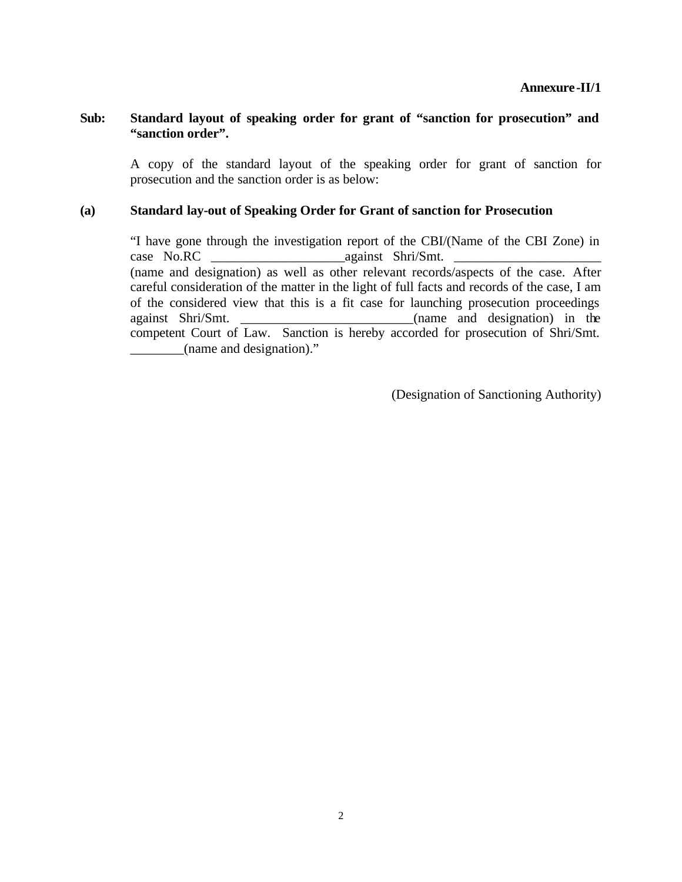#### **Sub: Standard layout of speaking order for grant of "sanction for prosecution" and "sanction order".**

A copy of the standard layout of the speaking order for grant of sanction for prosecution and the sanction order is as below:

#### **(a) Standard lay-out of Speaking Order for Grant of sanction for Prosecution**

"I have gone through the investigation report of the CBI/(Name of the CBI Zone) in case No.RC against Shri/Smt. (name and designation) as well as other relevant records/aspects of the case. After careful consideration of the matter in the light of full facts and records of the case, I am of the considered view that this is a fit case for launching prosecution proceedings against Shri/Smt. \_\_\_\_\_\_\_\_\_\_\_\_\_\_\_\_\_\_\_\_\_\_\_\_\_\_(name and designation) in the competent Court of Law. Sanction is hereby accorded for prosecution of Shri/Smt. \_\_\_\_\_\_\_\_(name and designation)."

(Designation of Sanctioning Authority)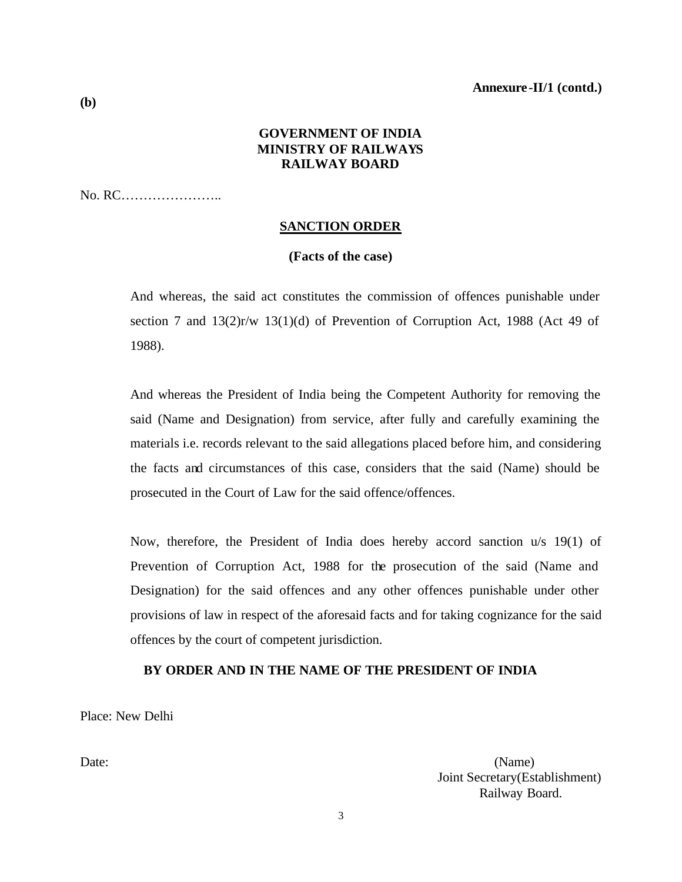### **GOVERNMENT OF INDIA MINISTRY OF RAILWAYS RAILWAY BOARD**

No. RC…………………..

#### **SANCTION ORDER**

#### **(Facts of the case)**

And whereas, the said act constitutes the commission of offences punishable under section 7 and 13(2)r/w 13(1)(d) of Prevention of Corruption Act, 1988 (Act 49 of 1988).

And whereas the President of India being the Competent Authority for removing the said (Name and Designation) from service, after fully and carefully examining the materials i.e. records relevant to the said allegations placed before him, and considering the facts and circumstances of this case, considers that the said (Name) should be prosecuted in the Court of Law for the said offence/offences.

Now, therefore, the President of India does hereby accord sanction u/s 19(1) of Prevention of Corruption Act, 1988 for the prosecution of the said (Name and Designation) for the said offences and any other offences punishable under other provisions of law in respect of the aforesaid facts and for taking cognizance for the said offences by the court of competent jurisdiction.

### **BY ORDER AND IN THE NAME OF THE PRESIDENT OF INDIA**

Place: New Delhi

Date: (Name) Joint Secretary(Establishment) Railway Board.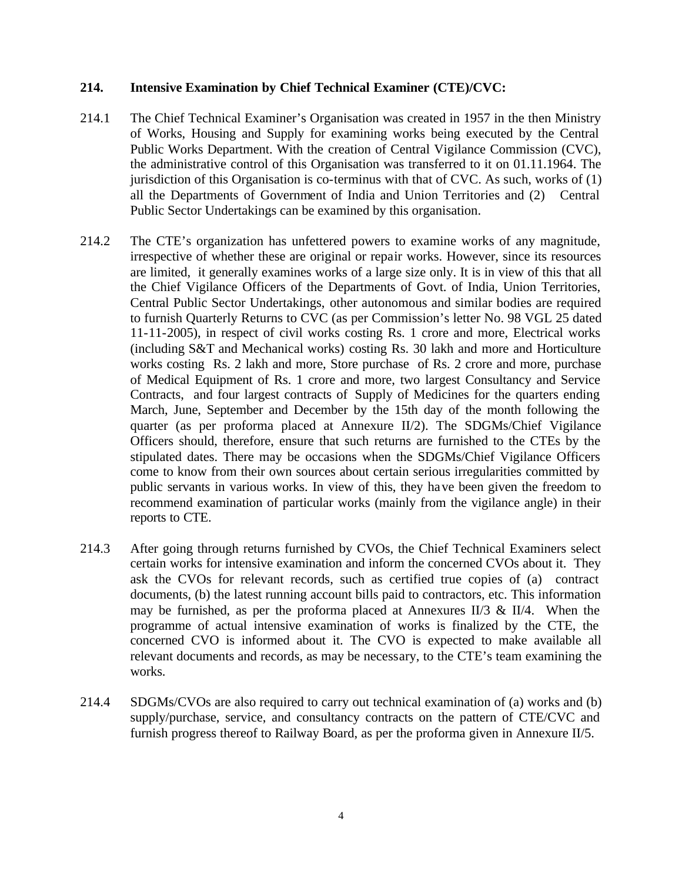#### **214. Intensive Examination by Chief Technical Examiner (CTE)/CVC:**

- 214.1 The Chief Technical Examiner's Organisation was created in 1957 in the then Ministry of Works, Housing and Supply for examining works being executed by the Central Public Works Department. With the creation of Central Vigilance Commission (CVC), the administrative control of this Organisation was transferred to it on 01.11.1964. The jurisdiction of this Organisation is co-terminus with that of CVC. As such, works of  $(1)$ all the Departments of Government of India and Union Territories and (2) Central Public Sector Undertakings can be examined by this organisation.
- 214.2 The CTE's organization has unfettered powers to examine works of any magnitude, irrespective of whether these are original or repair works. However, since its resources are limited, it generally examines works of a large size only. It is in view of this that all the Chief Vigilance Officers of the Departments of Govt. of India, Union Territories, Central Public Sector Undertakings, other autonomous and similar bodies are required to furnish Quarterly Returns to CVC (as per Commission's letter No. 98 VGL 25 dated 11-11-2005), in respect of civil works costing Rs. 1 crore and more, Electrical works (including S&T and Mechanical works) costing Rs. 30 lakh and more and Horticulture works costing Rs. 2 lakh and more, Store purchase of Rs. 2 crore and more, purchase of Medical Equipment of Rs. 1 crore and more, two largest Consultancy and Service Contracts, and four largest contracts of Supply of Medicines for the quarters ending March, June, September and December by the 15th day of the month following the quarter (as per proforma placed at Annexure II/2). The SDGMs/Chief Vigilance Officers should, therefore, ensure that such returns are furnished to the CTEs by the stipulated dates. There may be occasions when the SDGMs/Chief Vigilance Officers come to know from their own sources about certain serious irregularities committed by public servants in various works. In view of this, they have been given the freedom to recommend examination of particular works (mainly from the vigilance angle) in their reports to CTE.
- 214.3 After going through returns furnished by CVOs, the Chief Technical Examiners select certain works for intensive examination and inform the concerned CVOs about it. They ask the CVOs for relevant records, such as certified true copies of (a) contract documents, (b) the latest running account bills paid to contractors, etc. This information may be furnished, as per the proforma placed at Annexures II/3 & II/4. When the programme of actual intensive examination of works is finalized by the CTE, the concerned CVO is informed about it. The CVO is expected to make available all relevant documents and records, as may be necessary, to the CTE's team examining the works.
- 214.4 SDGMs/CVOs are also required to carry out technical examination of (a) works and (b) supply/purchase, service, and consultancy contracts on the pattern of CTE/CVC and furnish progress thereof to Railway Board, as per the proforma given in Annexure  $II/5$ .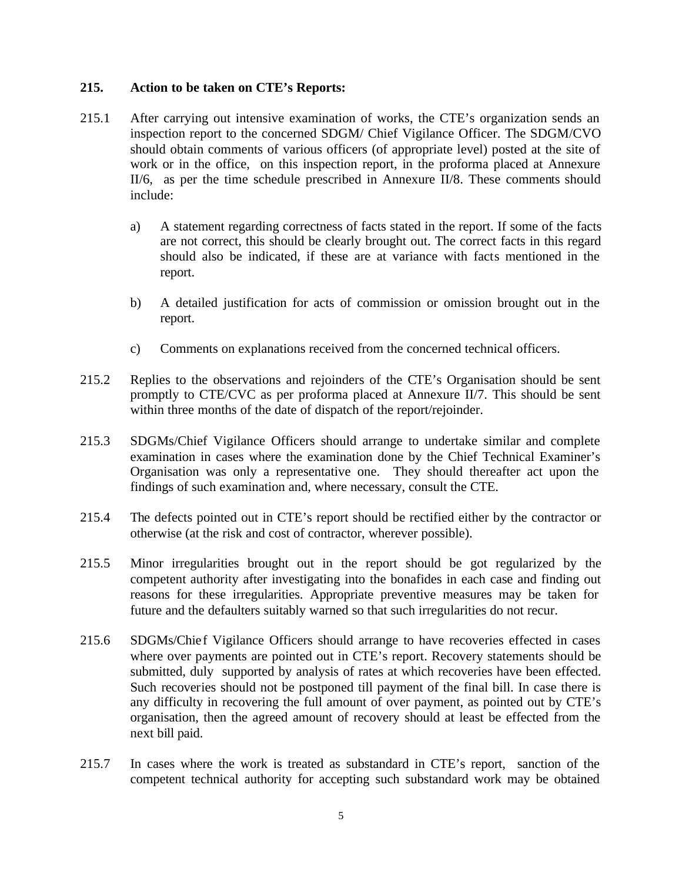#### **215. Action to be taken on CTE's Reports:**

- 215.1 After carrying out intensive examination of works, the CTE's organization sends an inspection report to the concerned SDGM/ Chief Vigilance Officer. The SDGM/CVO should obtain comments of various officers (of appropriate level) posted at the site of work or in the office, on this inspection report, in the proforma placed at Annexure II/6, as per the time schedule prescribed in Annexure II/8. These comments should include:
	- a) A statement regarding correctness of facts stated in the report. If some of the facts are not correct, this should be clearly brought out. The correct facts in this regard should also be indicated, if these are at variance with facts mentioned in the report.
	- b) A detailed justification for acts of commission or omission brought out in the report.
	- c) Comments on explanations received from the concerned technical officers.
- 215.2 Replies to the observations and rejoinders of the CTE's Organisation should be sent promptly to CTE/CVC as per proforma placed at Annexure II/7. This should be sent within three months of the date of dispatch of the report/rejoinder.
- 215.3 SDGMs/Chief Vigilance Officers should arrange to undertake similar and complete examination in cases where the examination done by the Chief Technical Examiner's Organisation was only a representative one. They should thereafter act upon the findings of such examination and, where necessary, consult the CTE.
- 215.4 The defects pointed out in CTE's report should be rectified either by the contractor or otherwise (at the risk and cost of contractor, wherever possible).
- 215.5 Minor irregularities brought out in the report should be got regularized by the competent authority after investigating into the bonafides in each case and finding out reasons for these irregularities. Appropriate preventive measures may be taken for future and the defaulters suitably warned so that such irregularities do not recur.
- 215.6 SDGMs/Chief Vigilance Officers should arrange to have recoveries effected in cases where over payments are pointed out in CTE's report. Recovery statements should be submitted, duly supported by analysis of rates at which recoveries have been effected. Such recoveries should not be postponed till payment of the final bill. In case there is any difficulty in recovering the full amount of over payment, as pointed out by CTE's organisation, then the agreed amount of recovery should at least be effected from the next bill paid.
- 215.7 In cases where the work is treated as substandard in CTE's report, sanction of the competent technical authority for accepting such substandard work may be obtained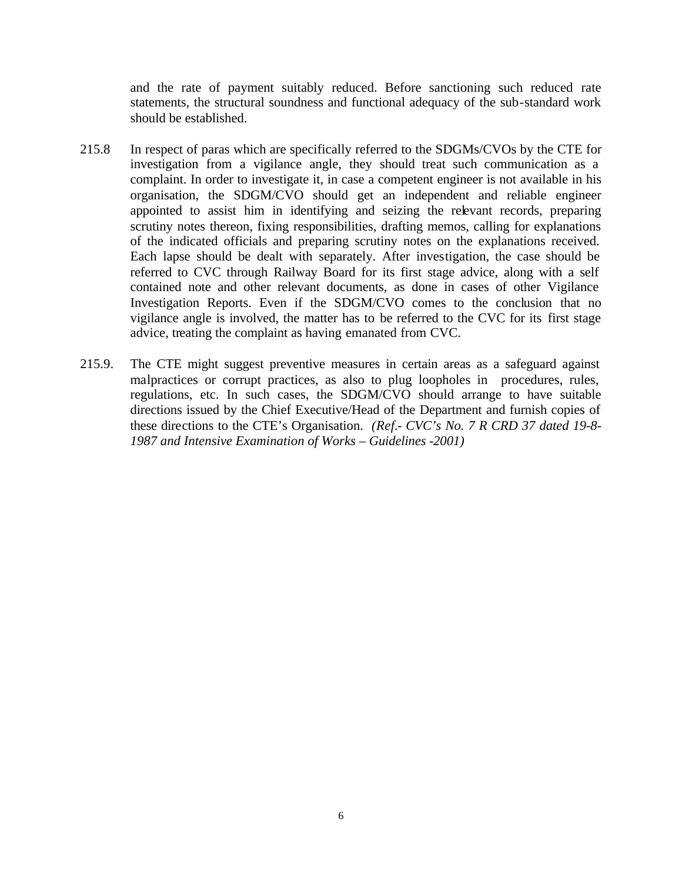and the rate of payment suitably reduced. Before sanctioning such reduced rate statements, the structural soundness and functional adequacy of the sub-standard work should be established.

- 215.8 In respect of paras which are specifically referred to the SDGMs/CVOs by the CTE for investigation from a vigilance angle, they should treat such communication as a complaint. In order to investigate it, in case a competent engineer is not available in his organisation, the SDGM/CVO should get an independent and reliable engineer appointed to assist him in identifying and seizing the relevant records, preparing scrutiny notes thereon, fixing responsibilities, drafting memos, calling for explanations of the indicated officials and preparing scrutiny notes on the explanations received. Each lapse should be dealt with separately. After investigation, the case should be referred to CVC through Railway Board for its first stage advice, along with a self contained note and other relevant documents, as done in cases of other Vigilance Investigation Reports. Even if the SDGM/CVO comes to the conclusion that no vigilance angle is involved, the matter has to be referred to the CVC for its first stage advice, treating the complaint as having emanated from CVC.
- 215.9. The CTE might suggest preventive measures in certain areas as a safeguard against malpractices or corrupt practices, as also to plug loopholes in procedures, rules, regulations, etc. In such cases, the SDGM/CVO should arrange to have suitable directions issued by the Chief Executive/Head of the Department and furnish copies of these directions to the CTE's Organisation. *(Ref.- CVC's No. 7 R CRD 37 dated 19-8- 1987 and Intensive Examination of Works – Guidelines -2001)*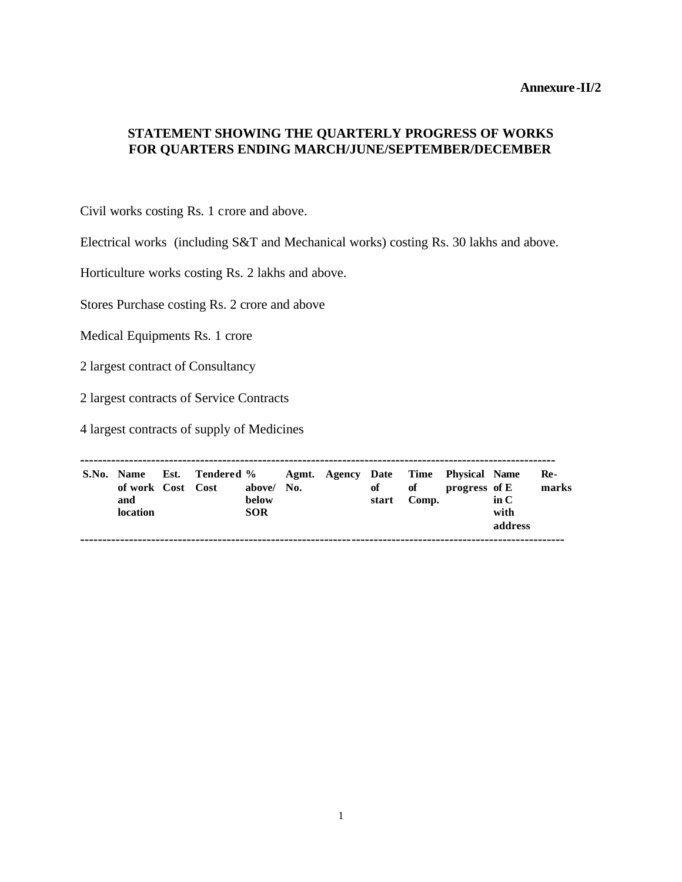### **STATEMENT SHOWING THE QUARTERLY PROGRESS OF WORKS FOR QUARTERS ENDING MARCH/JUNE/SEPTEMBER/DECEMBER**

Civil works costing Rs. 1 crore and above.

Electrical works (including S&T and Mechanical works) costing Rs. 30 lakhs and above.

Horticulture works costing Rs. 2 lakhs and above.

Stores Purchase costing Rs. 2 crore and above

Medical Equipments Rs. 1 crore

2 largest contract of Consultancy

2 largest contracts of Service Contracts

4 largest contracts of supply of Medicines

**----------------------------------------------------------------------------------------------------------- S.No. Name Est. Tendered % Agmt. Agency Date Time Physical Name Reof work Cost Cost above/ No. of of progress of E marks and below start Comp. in C location SOR with address -------------------------------------------------------------------------------------------------------------**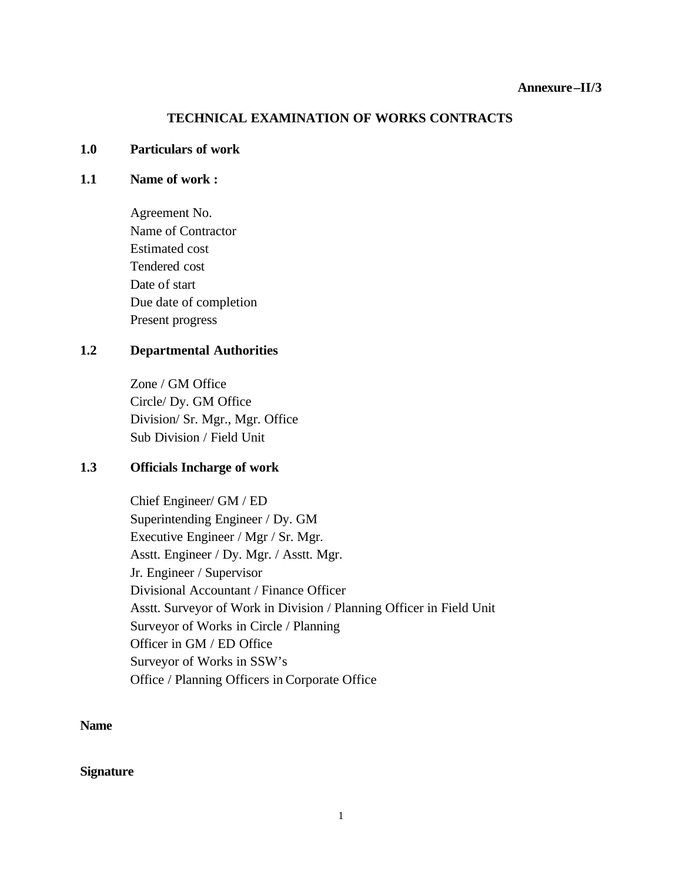### **TECHNICAL EXAMINATION OF WORKS CONTRACTS**

#### **1.0 Particulars of work**

#### **1.1 Name of work :**

Agreement No. Name of Contractor Estimated cost Tendered cost Date of start Due date of completion Present progress

### **1.2 Departmental Authorities**

Zone / GM Office Circle/ Dy. GM Office Division/ Sr. Mgr., Mgr. Office Sub Division / Field Unit

### **1.3 Officials Incharge of work**

Chief Engineer/ GM / ED Superintending Engineer / Dy. GM Executive Engineer / Mgr / Sr. Mgr. Asstt. Engineer / Dy. Mgr. / Asstt. Mgr. Jr. Engineer / Supervisor Divisional Accountant / Finance Officer Asstt. Surveyor of Work in Division / Planning Officer in Field Unit Surveyor of Works in Circle / Planning Officer in GM / ED Office Surveyor of Works in SSW's Office / Planning Officers in Corporate Office

**Name**

**Signature**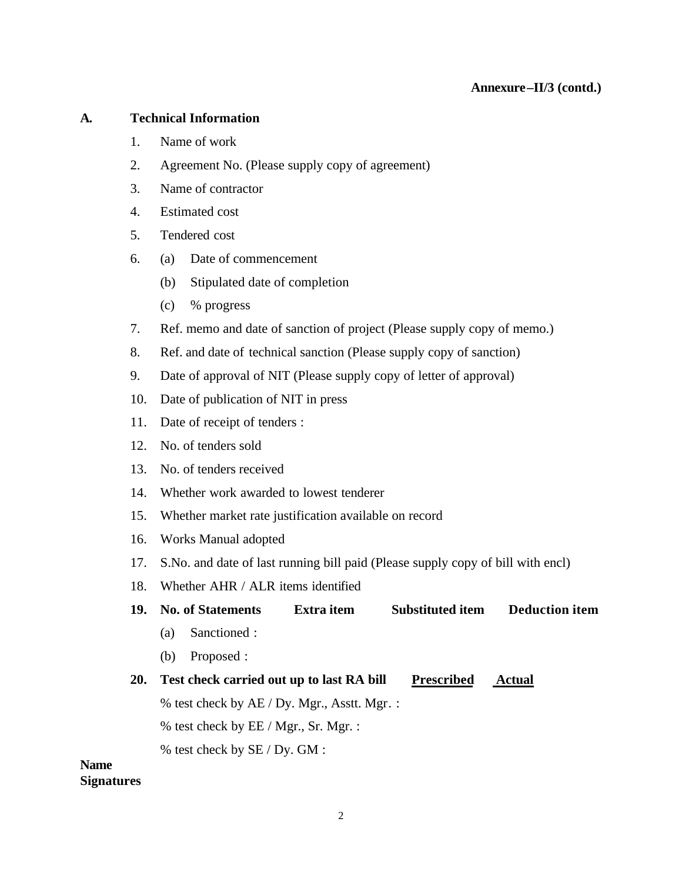### **A. Technical Information**

- 1. Name of work
- 2. Agreement No. (Please supply copy of agreement)
- 3. Name of contractor
- 4. Estimated cost
- 5. Tendered cost
- 6. (a) Date of commencement
	- (b) Stipulated date of completion
	- (c) % progress
- 7. Ref. memo and date of sanction of project (Please supply copy of memo.)
- 8. Ref. and date of technical sanction (Please supply copy of sanction)
- 9. Date of approval of NIT (Please supply copy of letter of approval)
- 10. Date of publication of NIT in press
- 11. Date of receipt of tenders :
- 12. No. of tenders sold
- 13. No. of tenders received
- 14. Whether work awarded to lowest tenderer
- 15. Whether market rate justification available on record
- 16. Works Manual adopted
- 17. S.No. and date of last running bill paid (Please supply copy of bill with encl)
- 18. Whether AHR / ALR items identified
- **19. No. of Statements Extra item Substituted item Deduction item**
	- (a) Sanctioned :
	- (b) Proposed :
- **20. Test check carried out up to last RA bill Prescribed Actual**
	- % test check by AE / Dy. Mgr., Asstt. Mgr. :
	- % test check by EE / Mgr., Sr. Mgr. :
	- % test check by SE / Dy. GM :

### **Name Signatures**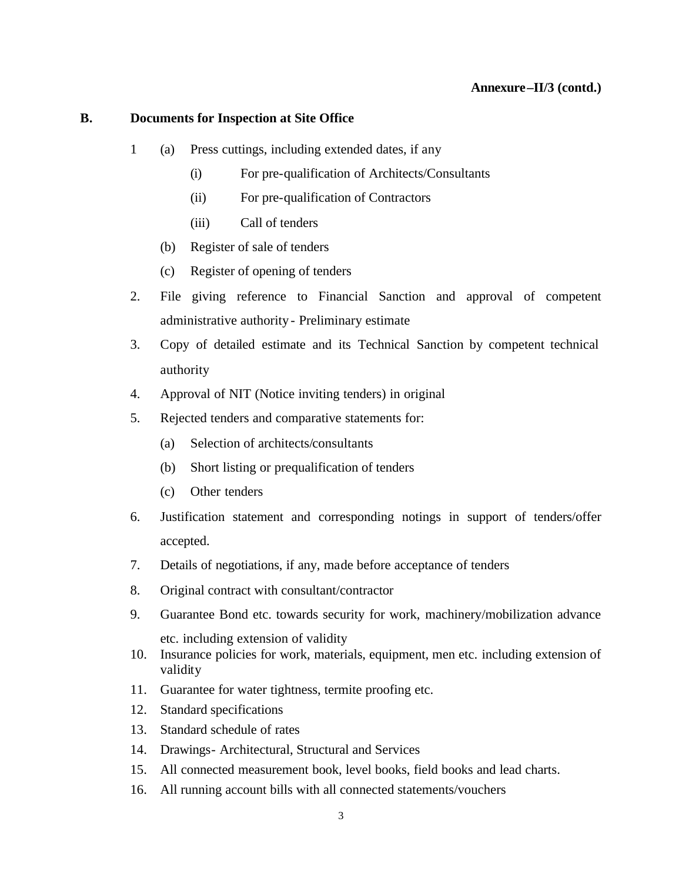#### **B. Documents for Inspection at Site Office**

- 1 (a) Press cuttings, including extended dates, if any
	- (i) For pre-qualification of Architects/Consultants
	- (ii) For pre-qualification of Contractors
	- (iii) Call of tenders
	- (b) Register of sale of tenders
	- (c) Register of opening of tenders
- 2. File giving reference to Financial Sanction and approval of competent administrative authority - Preliminary estimate
- 3. Copy of detailed estimate and its Technical Sanction by competent technical authority
- 4. Approval of NIT (Notice inviting tenders) in original
- 5. Rejected tenders and comparative statements for:
	- (a) Selection of architects/consultants
	- (b) Short listing or prequalification of tenders
	- (c) Other tenders
- 6. Justification statement and corresponding notings in support of tenders/offer accepted.
- 7. Details of negotiations, if any, made before acceptance of tenders
- 8. Original contract with consultant/contractor
- 9. Guarantee Bond etc. towards security for work, machinery/mobilization advance etc. including extension of validity
- 10. Insurance policies for work, materials, equipment, men etc. including extension of validity
- 11. Guarantee for water tightness, termite proofing etc.
- 12. Standard specifications
- 13. Standard schedule of rates
- 14. Drawings- Architectural, Structural and Services
- 15. All connected measurement book, level books, field books and lead charts.
- 16. All running account bills with all connected statements/vouchers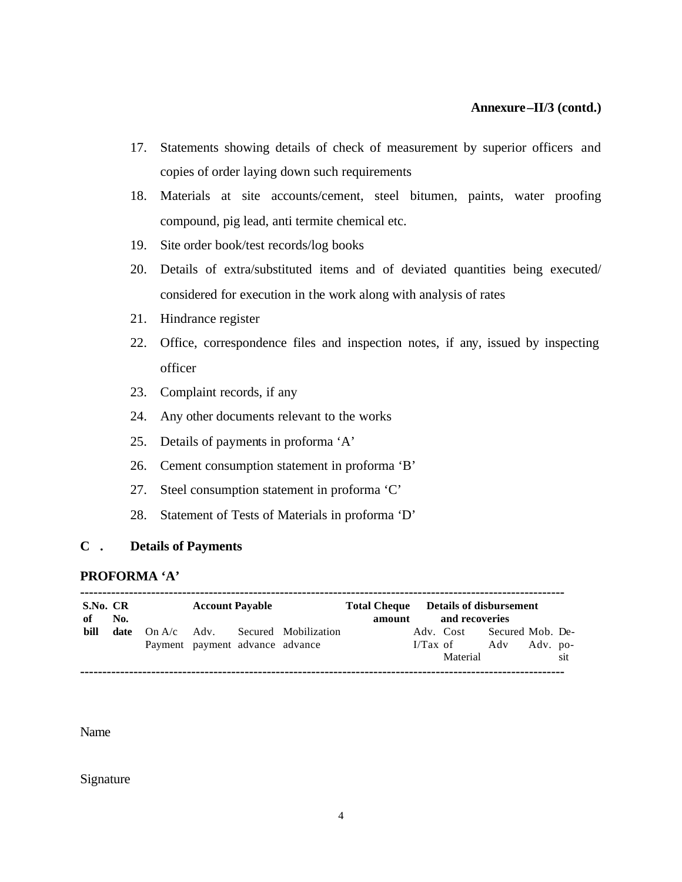- 17. Statements showing details of check of measurement by superior officers and copies of order laying down such requirements
- 18. Materials at site accounts/cement, steel bitumen, paints, water proofing compound, pig lead, anti termite chemical etc.
- 19. Site order book/test records/log books
- 20. Details of extra/substituted items and of deviated quantities being executed/ considered for execution in the work along with analysis of rates
- 21. Hindrance register
- 22. Office, correspondence files and inspection notes, if any, issued by inspecting officer
- 23. Complaint records, if any
- 24. Any other documents relevant to the works
- 25. Details of payments in proforma 'A'
- 26. Cement consumption statement in proforma 'B'
- 27. Steel consumption statement in proforma 'C'
- 28. Statement of Tests of Materials in proforma 'D'

### **C . Details of Payments**

#### **PROFORMA 'A'**

| S.No. CR<br>of | No. | <b>Account Payable</b> |                                 |  | amount                                         | <b>Total Cheque</b> Details of disbursement<br>and recoveries |  |                                                                 |  |  |     |
|----------------|-----|------------------------|---------------------------------|--|------------------------------------------------|---------------------------------------------------------------|--|-----------------------------------------------------------------|--|--|-----|
| bill           |     |                        | Payment payment advance advance |  | <b>date</b> On $A/c$ Adv. Secured Mobilization |                                                               |  | Adv. Cost Secured Mob. De-<br>I/Tax of Adv Adv. po-<br>Material |  |  | sit |

Name

Signature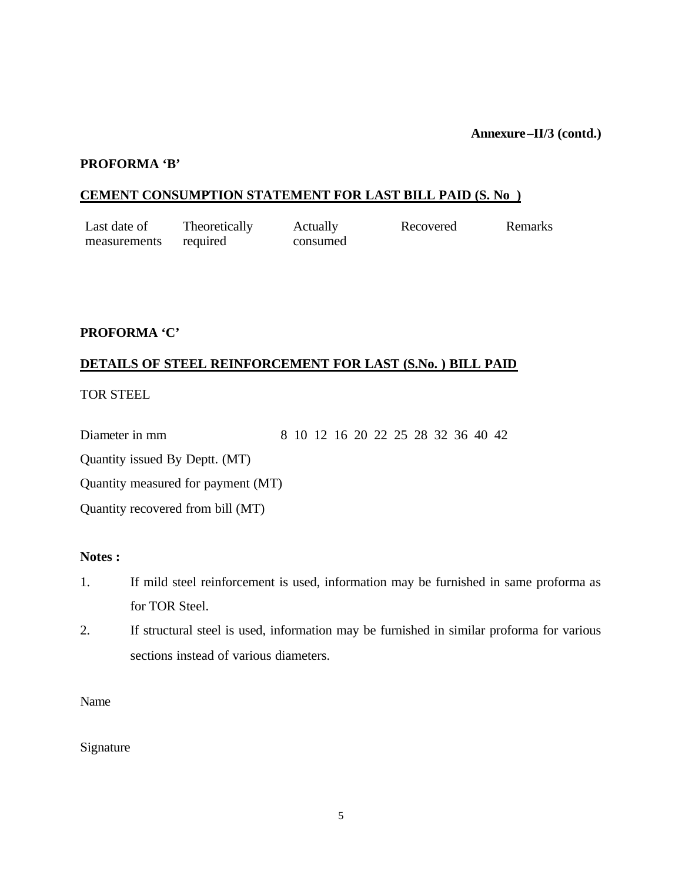#### **PROFORMA 'B'**

### **CEMENT CONSUMPTION STATEMENT FOR LAST BILL PAID (S. No )**

| Last date of | Theoretically | Actually | Recovered | Remarks |
|--------------|---------------|----------|-----------|---------|
| measurements | required      | consumed |           |         |

### **PROFORMA 'C'**

### **DETAILS OF STEEL REINFORCEMENT FOR LAST (S.No. ) BILL PAID**

TOR STEEL

Diameter in mm 8 10 12 16 20 22 25 28 32 36 40 42

Quantity issued By Deptt. (MT)

Quantity measured for payment (MT)

Quantity recovered from bill (MT)

#### **Notes :**

- 1. If mild steel reinforcement is used, information may be furnished in same proforma as for TOR Steel.
- 2. If structural steel is used, information may be furnished in similar proforma for various sections instead of various diameters.

Name

Signature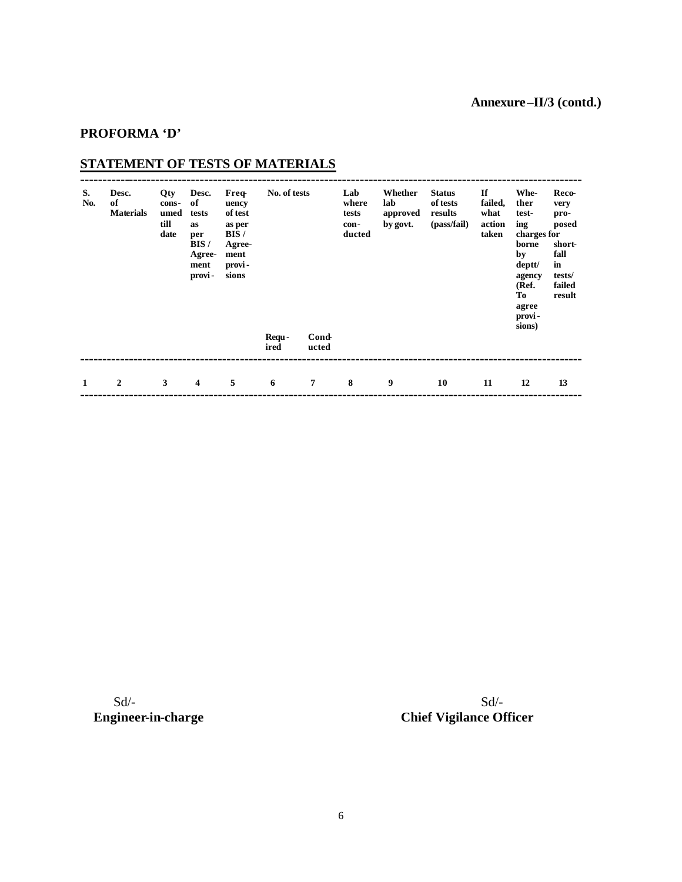### **PROFORMA 'D'**

# **STATEMENT OF TESTS OF MATERIALS**

| S.<br>No. | Desc.<br>of<br><b>Materials</b> | Qty<br>cons-<br>umed<br>till<br>date | Desc.<br>of<br>tests<br><b>as</b><br>per<br>BIS/<br>Agree-<br>ment<br>provi- | <b>Freq</b><br>uency<br>of test<br>as per<br>BIS/<br>Agree-<br>ment<br>provi-<br>sions | No. of tests<br>Requ-<br>ired | <b>Cond-</b><br>ucted | Lab<br>where<br>tests<br>con-<br>ducted | Whether<br>lab<br>approved<br>by govt. | <b>Status</b><br>of tests<br>results<br>(pass/fail) | If<br>failed,<br>what<br>action<br>taken | Whe-<br>ther<br>test-<br>ing<br>charges for<br>borne<br>by<br>deptt/<br>agency<br>(Ref.<br>To<br>agree<br>provi-<br>sions) | Reco-<br>very<br>pro-<br>posed<br>short-<br>fall<br>in<br>tests/<br>failed<br>result |
|-----------|---------------------------------|--------------------------------------|------------------------------------------------------------------------------|----------------------------------------------------------------------------------------|-------------------------------|-----------------------|-----------------------------------------|----------------------------------------|-----------------------------------------------------|------------------------------------------|----------------------------------------------------------------------------------------------------------------------------|--------------------------------------------------------------------------------------|
| 1         | $\mathbf{2}$                    | 3                                    | $\overline{\mathbf{4}}$                                                      | 5                                                                                      | 6                             | $\overline{7}$        | 8                                       | 9                                      | 10                                                  | 11                                       | 12                                                                                                                         | 13                                                                                   |

 $Sd$ - $Sd$ -

**Engineer-in-charge Chief Vigilance Officer**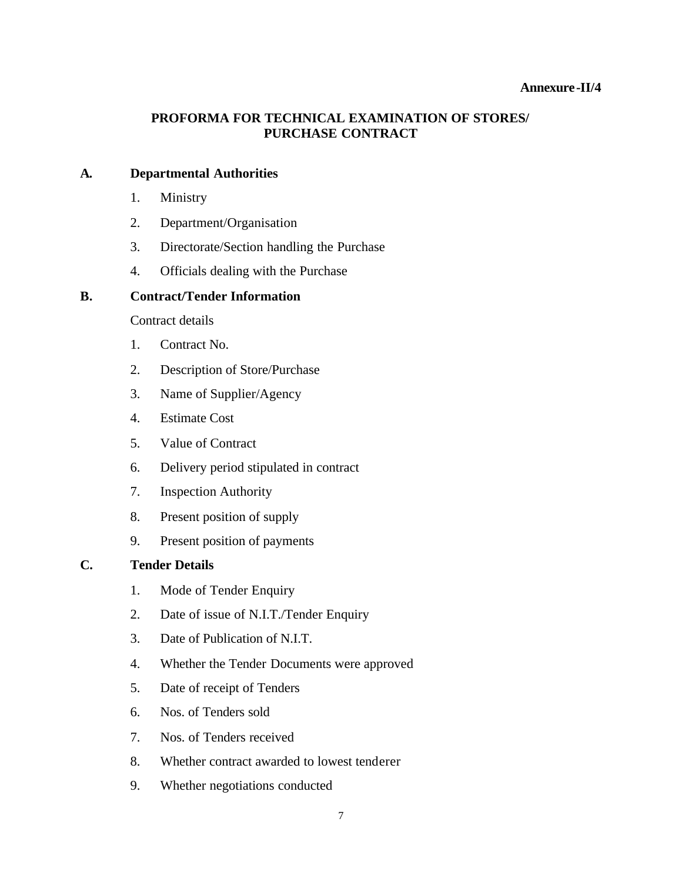#### **Annexure-II/4**

### **PROFORMA FOR TECHNICAL EXAMINATION OF STORES/ PURCHASE CONTRACT**

#### **A. Departmental Authorities**

- 1. Ministry
- 2. Department/Organisation
- 3. Directorate/Section handling the Purchase
- 4. Officials dealing with the Purchase

### **B. Contract/Tender Information**

Contract details

- 1. Contract No.
- 2. Description of Store/Purchase
- 3. Name of Supplier/Agency
- 4. Estimate Cost
- 5. Value of Contract
- 6. Delivery period stipulated in contract
- 7. Inspection Authority
- 8. Present position of supply
- 9. Present position of payments

### **C. Tender Details**

- 1. Mode of Tender Enquiry
- 2. Date of issue of N.I.T./Tender Enquiry
- 3. Date of Publication of N.I.T.
- 4. Whether the Tender Documents were approved
- 5. Date of receipt of Tenders
- 6. Nos. of Tenders sold
- 7. Nos. of Tenders received
- 8. Whether contract awarded to lowest tenderer
- 9. Whether negotiations conducted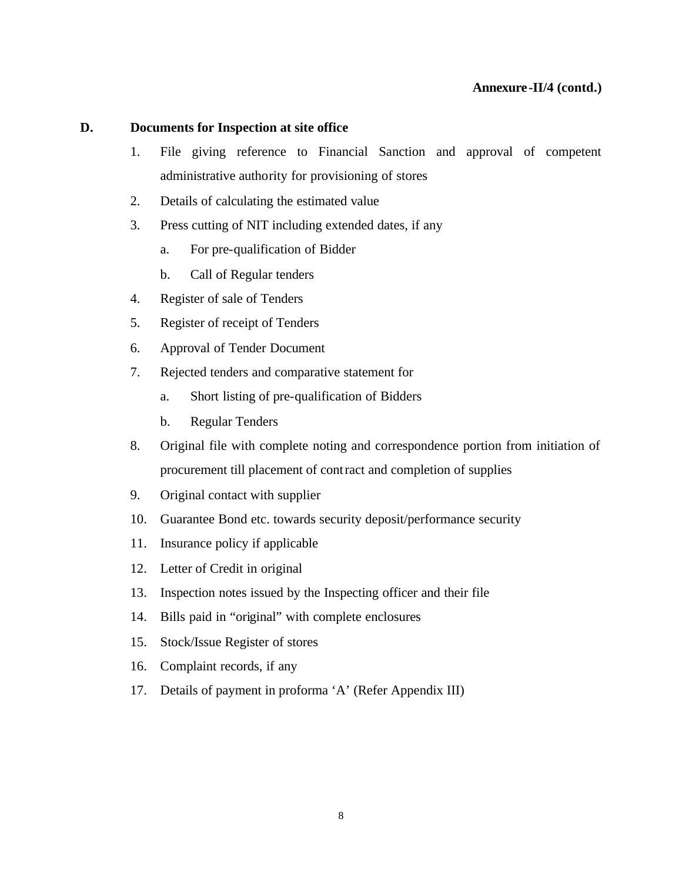#### **D. Documents for Inspection at site office**

- 1. File giving reference to Financial Sanction and approval of competent administrative authority for provisioning of stores
- 2. Details of calculating the estimated value
- 3. Press cutting of NIT including extended dates, if any
	- a. For pre-qualification of Bidder
	- b. Call of Regular tenders
- 4. Register of sale of Tenders
- 5. Register of receipt of Tenders
- 6. Approval of Tender Document
- 7. Rejected tenders and comparative statement for
	- a. Short listing of pre-qualification of Bidders
	- b. Regular Tenders
- 8. Original file with complete noting and correspondence portion from initiation of procurement till placement of contract and completion of supplies
- 9. Original contact with supplier
- 10. Guarantee Bond etc. towards security deposit/performance security
- 11. Insurance policy if applicable
- 12. Letter of Credit in original
- 13. Inspection notes issued by the Inspecting officer and their file
- 14. Bills paid in "original" with complete enclosures
- 15. Stock/Issue Register of stores
- 16. Complaint records, if any
- 17. Details of payment in proforma 'A' (Refer Appendix III)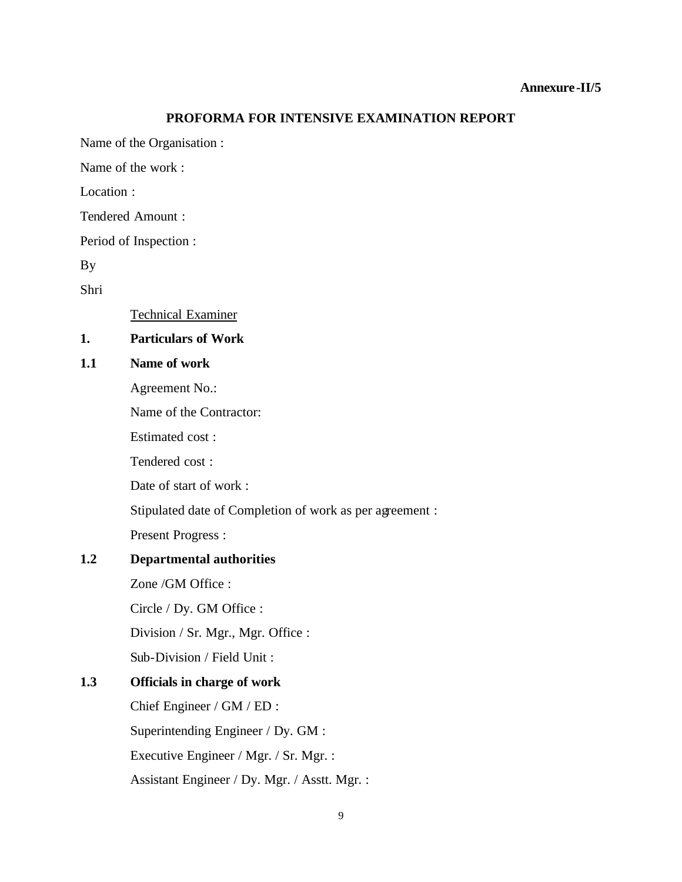#### **PROFORMA FOR INTENSIVE EXAMINATION REPORT**

Name of the Organisation :

Name of the work :

Location :

Tendered Amount :

Period of Inspection :

By

Shri

Technical Examiner

### **1. Particulars of Work**

#### **1.1 Name of work**

Agreement No.:

Name of the Contractor:

Estimated cost :

Tendered cost :

Date of start of work :

Stipulated date of Completion of work as per agreement :

Present Progress :

### **1.2 Departmental authorities**

Zone /GM Office :

Circle / Dy. GM Office :

Division / Sr. Mgr., Mgr. Office :

Sub-Division / Field Unit :

### **1.3 Officials in charge of work**

Chief Engineer / GM / ED : Superintending Engineer / Dy. GM : Executive Engineer / Mgr. / Sr. Mgr. : Assistant Engineer / Dy. Mgr. / Asstt. Mgr. :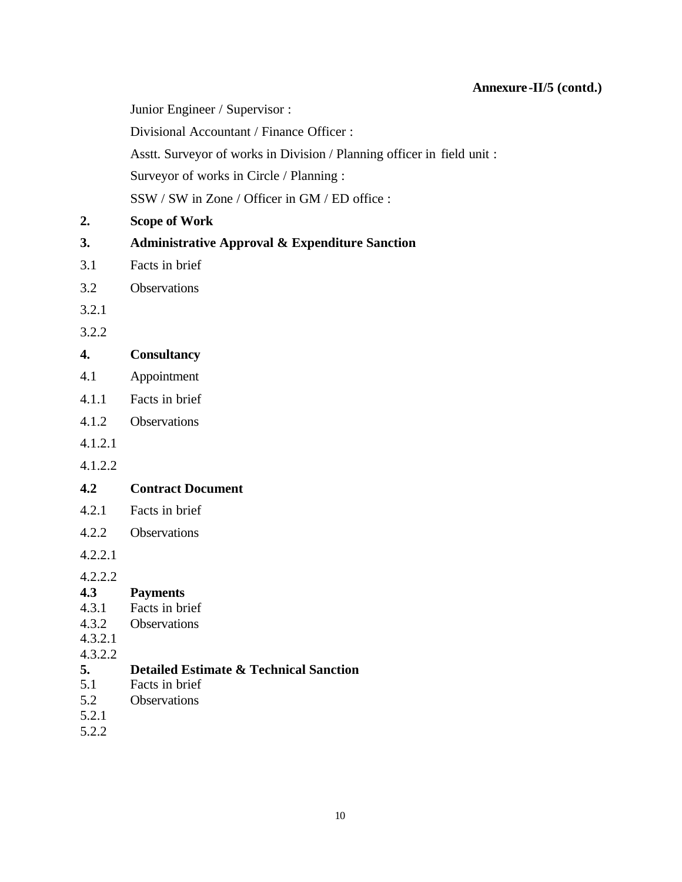Junior Engineer / Supervisor :

Divisional Accountant / Finance Officer :

Asstt. Surveyor of works in Division / Planning officer in field unit :

Surveyor of works in Circle / Planning :

SSW / SW in Zone / Officer in GM / ED office :

**2. Scope of Work**

### **3. Administrative Approval & Expenditure Sanction**

- 3.1 Facts in brief
- 3.2 Observations
- 3.2.1

3.2.2

### **4. Consultancy**

- 4.1 Appointment
- 4.1.1 Facts in brief
- 4.1.2 Observations
- 4.1.2.1
- 4.1.2.2

### **4.2 Contract Document**

- 4.2.1 Facts in brief
- 4.2.2 Observations

4.2.2.1

4.2.2.2

### **4.3 Payments**

- 4.3.1 Facts in brief
- 4.3.2 Observations
- 4.3.2.1
- 4.3.2.2

## **5. Detailed Estimate & Technical Sanction**

- 5.1 Facts in brief
- 5.2 Observations
- 5.2.1
- 5.2.2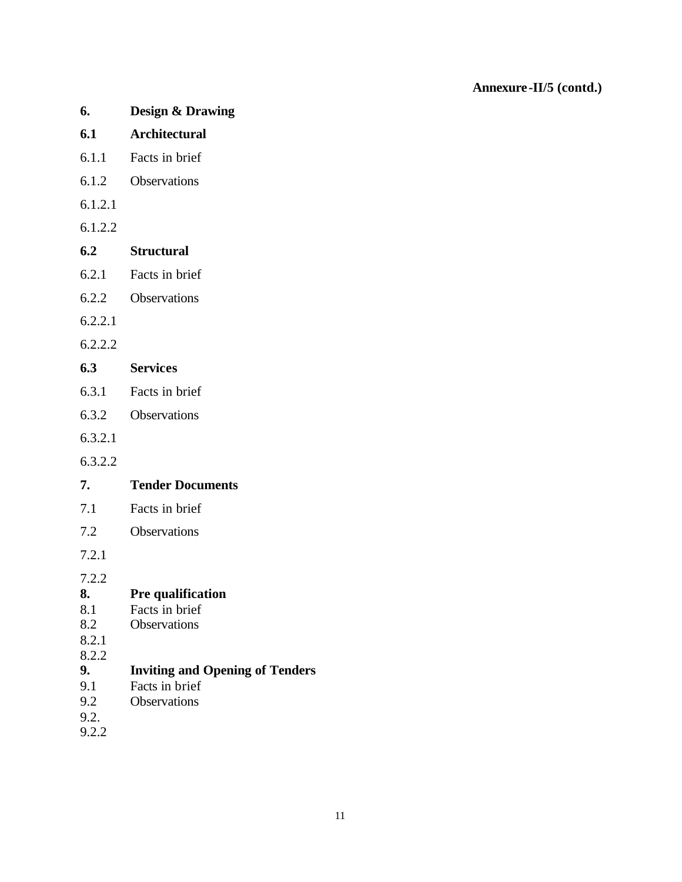- **6. Design & Drawing**
- **6.1 Architectural**
- 6.1.1 Facts in brief
- 6.1.2 Observations
- 6.1.2.1
- 6.1.2.2
- **6.2 Structural**
- 6.2.1 Facts in brief
- 6.2.2 Observations
- 6.2.2.1
- 6.2.2.2

### **6.3 Services**

- 6.3.1 Facts in brief
- 6.3.2 Observations
- 6.3.2.1
- 6.3.2.2
- **7. Tender Documents**
- 7.1 Facts in brief
- 7.2 Observations

7.2.1

7.2.2

### **8. Pre qualification**

- 8.1 Facts in brief
- 8.2 Observations
- 8.2.1
- 8.2.2

# **9. Inviting and Opening of Tenders**

- 9.1 Facts in brief
- 9.2 Observations
- 9.2.
- 9.2.2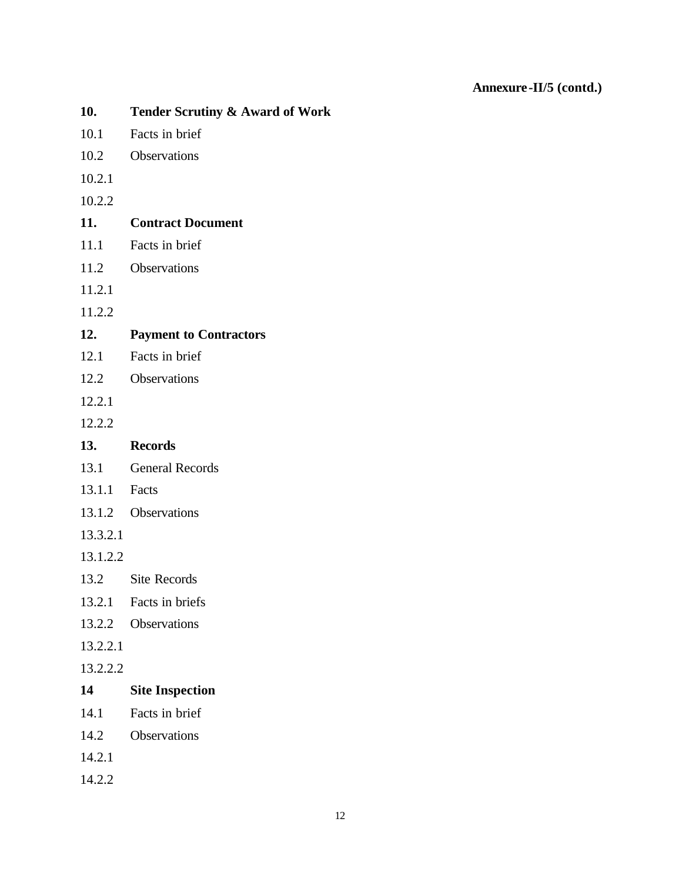| 10.      | <b>Tender Scrutiny &amp; Award of Work</b> |
|----------|--------------------------------------------|
| 10.1     | Facts in brief                             |
| 10.2     | Observations                               |
| 10.2.1   |                                            |
| 10.2.2   |                                            |
| 11.      | <b>Contract Document</b>                   |
| 11.1     | Facts in brief                             |
| 11.2     | Observations                               |
| 11.2.1   |                                            |
| 11.2.2   |                                            |
| 12.      | <b>Payment to Contractors</b>              |
| 12.1     | Facts in brief                             |
| 12.2     | Observations                               |
| 12.2.1   |                                            |
| 12.2.2   |                                            |
| 13.      | <b>Records</b>                             |
|          | 13.1 General Records                       |
| 13.1.1   | Facts                                      |
|          | 13.1.2 Observations                        |
| 13.3.2.1 |                                            |
| 13.1.2.2 |                                            |
|          | 13.2 Site Records                          |
|          | 13.2.1 Facts in briefs                     |
| 13.2.2   | <b>Observations</b>                        |
| 13.2.2.1 |                                            |
| 13.2.2.2 |                                            |
| 14       | <b>Site Inspection</b>                     |
| 14.1     | Facts in brief                             |
| 14.2     | Observations                               |
| 14.2.1   |                                            |
| 14.2.2   |                                            |
|          |                                            |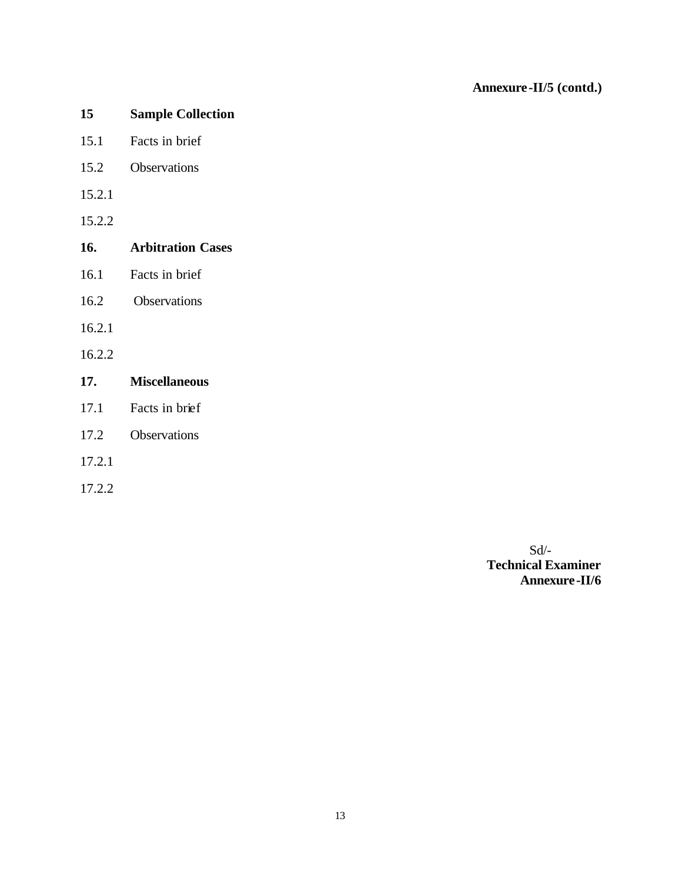- **15 Sample Collection**
- 15.1 Facts in brief
- 15.2 Observations
- 15.2.1
- 15.2.2
- **16. Arbitration Cases**
- 16.1 Facts in brief
- 16.2 Observations
- 16.2.1
- 16.2.2
- **17. Miscellaneous**
- 17.1 Facts in brief
- 17.2 Observations
- 17.2.1
- 17.2.2

Sd/- **Technical Examiner Annexure-II/6**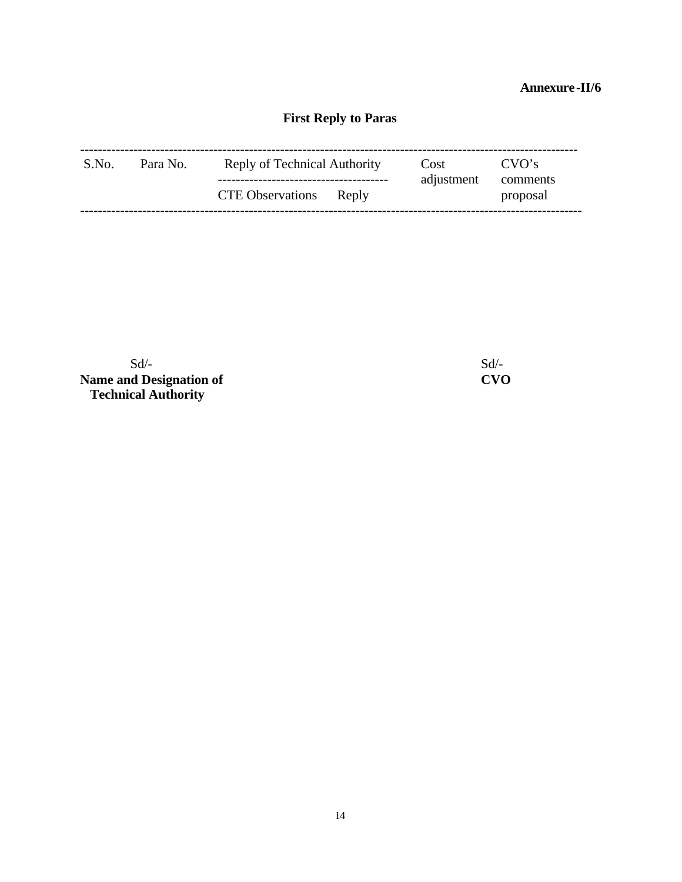### **Annexure-II/6**

# **First Reply to Paras**

| S.No. | Para No. | Reply of Technical Authority | Cost<br>adjustment | CVO's<br>comments |  |
|-------|----------|------------------------------|--------------------|-------------------|--|
|       |          | CTE Observations Reply       |                    | proposal          |  |

 $Sd$ - $Sd$ -**Name and Designation of CVO Technical Authority**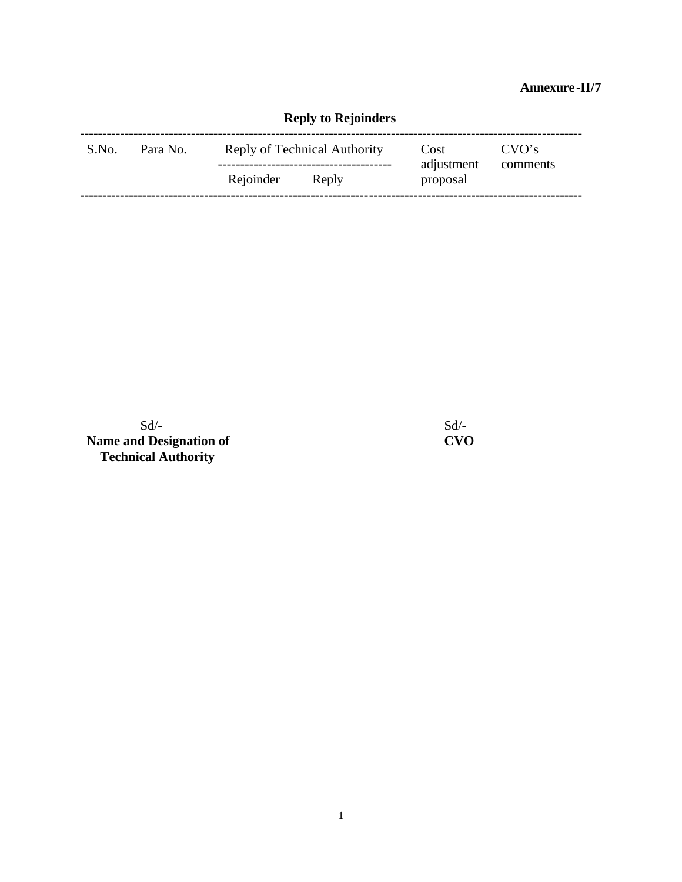**Annexure-II/7**

|       |          |                              | <b>Reply to Rejoinders</b> |                        |                   |  |
|-------|----------|------------------------------|----------------------------|------------------------|-------------------|--|
| S.No. | Para No. | Reply of Technical Authority |                            | Cost                   | CVO's<br>comments |  |
|       |          | Rejoinder                    | Reply                      | adjustment<br>proposal |                   |  |

 $Sd$ - $Sd$ -**Name and Designation of CVO Technical Authority**